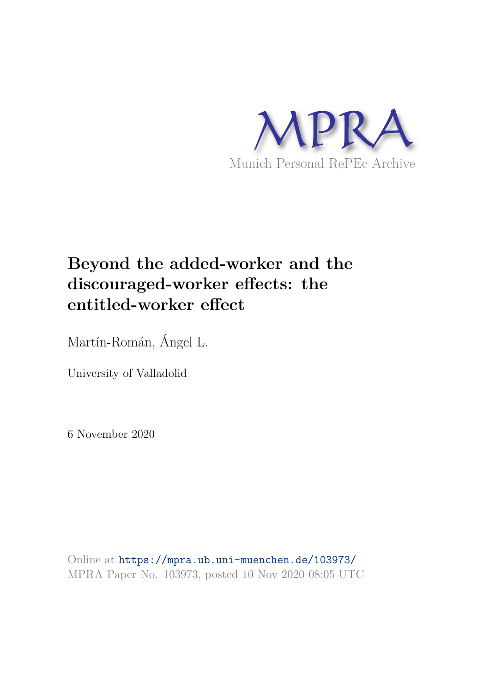

# **Beyond the added-worker and the discouraged-worker effects: the entitled-worker effect**

Martín-Román, Ángel L.

University of Valladolid

6 November 2020

Online at https://mpra.ub.uni-muenchen.de/103973/ MPRA Paper No. 103973, posted 10 Nov 2020 08:05 UTC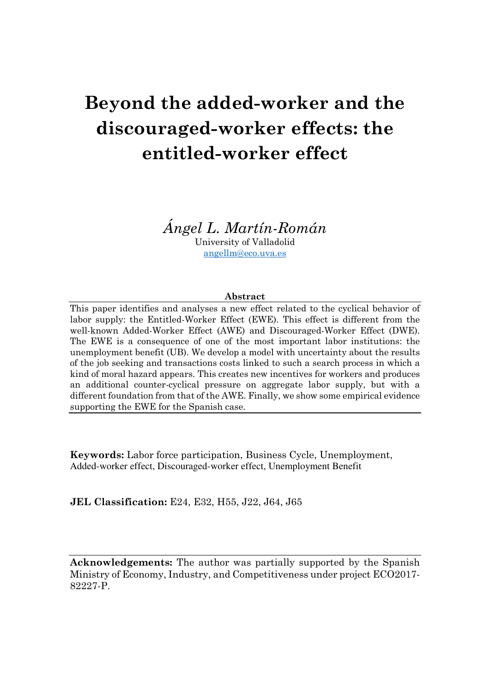# **Beyond the added-worker and the discouraged-worker effects: the entitled-worker effect**

*Ángel L. Martín-Román* University of Valladolid angellm@eco.uva.es

#### **Abstract**

This paper identifies and analyses a new effect related to the cyclical behavior of labor supply: the Entitled-Worker Effect (EWE). This effect is different from the well-known Added-Worker Effect (AWE) and Discouraged-Worker Effect (DWE). The EWE is a consequence of one of the most important labor institutions: the unemployment benefit (UB). We develop a model with uncertainty about the results of the job seeking and transactions costs linked to such a search process in which a kind of moral hazard appears. This creates new incentives for workers and produces an additional counter-cyclical pressure on aggregate labor supply, but with a different foundation from that of the AWE. Finally, we show some empirical evidence supporting the EWE for the Spanish case.

**Keywords:** Labor force participation, Business Cycle, Unemployment, Added-worker effect, Discouraged-worker effect, Unemployment Benefit

**JEL Classification:** E24, E32, H55, J22, J64, J65

**Acknowledgements:** The author was partially supported by the Spanish Ministry of Economy, Industry, and Competitiveness under project ECO2017- 82227-P.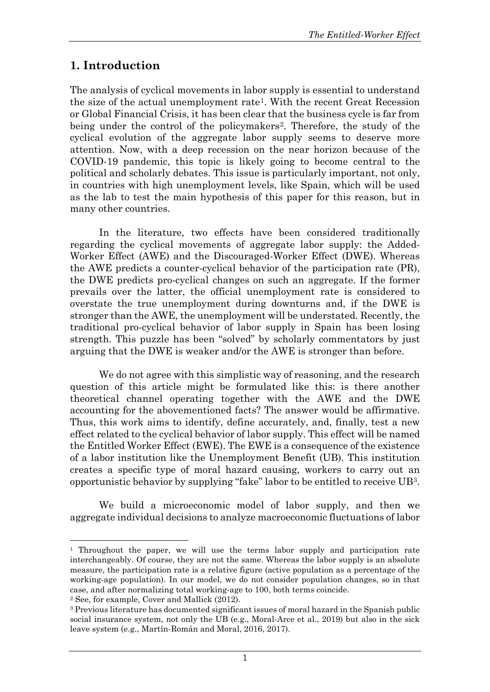# **1. Introduction**

The analysis of cyclical movements in labor supply is essential to understand the size of the actual unemployment rate[1](#page-2-0). With the recent Great Recession or Global Financial Crisis, it has been clear that the business cycle is far from being under the control of the policymakers[2](#page-2-1). Therefore, the study of the cyclical evolution of the aggregate labor supply seems to deserve more attention. Now, with a deep recession on the near horizon because of the COVID-19 pandemic, this topic is likely going to become central to the political and scholarly debates. This issue is particularly important, not only, in countries with high unemployment levels, like Spain, which will be used as the lab to test the main hypothesis of this paper for this reason, but in many other countries.

In the literature, two effects have been considered traditionally regarding the cyclical movements of aggregate labor supply: the Added-Worker Effect (AWE) and the Discouraged-Worker Effect (DWE). Whereas the AWE predicts a counter-cyclical behavior of the participation rate (PR), the DWE predicts pro-cyclical changes on such an aggregate. If the former prevails over the latter, the official unemployment rate is considered to overstate the true unemployment during downturns and, if the DWE is stronger than the AWE, the unemployment will be understated. Recently, the traditional pro-cyclical behavior of labor supply in Spain has been losing strength. This puzzle has been "solved" by scholarly commentators by just arguing that the DWE is weaker and/or the AWE is stronger than before.

We do not agree with this simplistic way of reasoning, and the research question of this article might be formulated like this: is there another theoretical channel operating together with the AWE and the DWE accounting for the abovementioned facts? The answer would be affirmative. Thus, this work aims to identify, define accurately, and, finally, test a new effect related to the cyclical behavior of labor supply. This effect will be named the Entitled Worker Effect (EWE). The EWE is a consequence of the existence of a labor institution like the Unemployment Benefit (UB). This institution creates a specific type of moral hazard causing, workers to carry out an opportunistic behavior by supplying "fake" labor to be entitled to receive UB[3](#page-2-2).

We build a microeconomic model of labor supply, and then we aggregate individual decisions to analyze macroeconomic fluctuations of labor

<span id="page-2-0"></span><sup>&</sup>lt;sup>1</sup> Throughout the paper, we will use the terms labor supply and participation rate interchangeably. Of course, they are not the same. Whereas the labor supply is an absolute measure, the participation rate is a relative figure (active population as a percentage of the working-age population). In our model, we do not consider population changes, so in that case, and after normalizing total working-age to 100, both terms coincide.

<span id="page-2-1"></span><sup>2</sup> See, for example, Cover and Mallick (2012).

<span id="page-2-2"></span><sup>3</sup> Previous literature has documented significant issues of moral hazard in the Spanish public social insurance system, not only the UB (e.g., Moral-Arce et al., 2019) but also in the sick leave system (e.g., Martín-Román and Moral, 2016, 2017).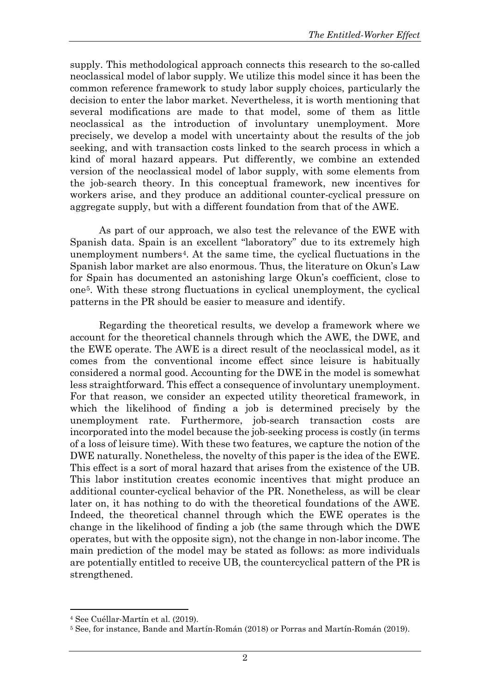supply. This methodological approach connects this research to the so-called neoclassical model of labor supply. We utilize this model since it has been the common reference framework to study labor supply choices, particularly the decision to enter the labor market. Nevertheless, it is worth mentioning that several modifications are made to that model, some of them as little neoclassical as the introduction of involuntary unemployment. More precisely, we develop a model with uncertainty about the results of the job seeking, and with transaction costs linked to the search process in which a kind of moral hazard appears. Put differently, we combine an extended version of the neoclassical model of labor supply, with some elements from the job-search theory. In this conceptual framework, new incentives for workers arise, and they produce an additional counter-cyclical pressure on aggregate supply, but with a different foundation from that of the AWE.

As part of our approach, we also test the relevance of the EWE with Spanish data. Spain is an excellent "laboratory" due to its extremely high unemployment numbers[4](#page-3-0). At the same time, the cyclical fluctuations in the Spanish labor market are also enormous. Thus, the literature on Okun's Law for Spain has documented an astonishing large Okun's coefficient, close to one[5](#page-3-1). With these strong fluctuations in cyclical unemployment, the cyclical patterns in the PR should be easier to measure and identify.

Regarding the theoretical results, we develop a framework where we account for the theoretical channels through which the AWE, the DWE, and the EWE operate. The AWE is a direct result of the neoclassical model, as it comes from the conventional income effect since leisure is habitually considered a normal good. Accounting for the DWE in the model is somewhat less straightforward. This effect a consequence of involuntary unemployment. For that reason, we consider an expected utility theoretical framework, in which the likelihood of finding a job is determined precisely by the unemployment rate. Furthermore, job-search transaction costs are incorporated into the model because the job-seeking process is costly (in terms of a loss of leisure time). With these two features, we capture the notion of the DWE naturally. Nonetheless, the novelty of this paper is the idea of the EWE. This effect is a sort of moral hazard that arises from the existence of the UB. This labor institution creates economic incentives that might produce an additional counter-cyclical behavior of the PR. Nonetheless, as will be clear later on, it has nothing to do with the theoretical foundations of the AWE. Indeed, the theoretical channel through which the EWE operates is the change in the likelihood of finding a job (the same through which the DWE operates, but with the opposite sign), not the change in non-labor income. The main prediction of the model may be stated as follows: as more individuals are potentially entitled to receive UB, the countercyclical pattern of the PR is strengthened.

<span id="page-3-0"></span><sup>4</sup> See Cuéllar-Martín et al. (2019).

<span id="page-3-1"></span><sup>5</sup> See, for instance, Bande and Martín-Román (2018) or Porras and Martín-Román (2019).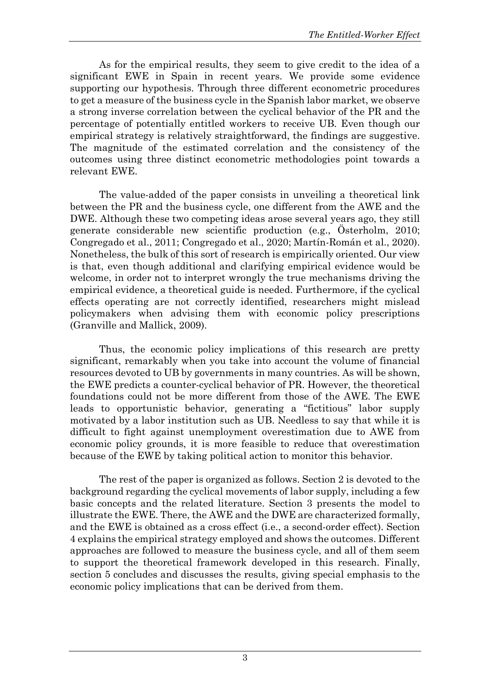As for the empirical results, they seem to give credit to the idea of a significant EWE in Spain in recent years. We provide some evidence supporting our hypothesis. Through three different econometric procedures to get a measure of the business cycle in the Spanish labor market, we observe a strong inverse correlation between the cyclical behavior of the PR and the percentage of potentially entitled workers to receive UB. Even though our empirical strategy is relatively straightforward, the findings are suggestive. The magnitude of the estimated correlation and the consistency of the outcomes using three distinct econometric methodologies point towards a relevant EWE.

The value-added of the paper consists in unveiling a theoretical link between the PR and the business cycle, one different from the AWE and the DWE. Although these two competing ideas arose several years ago, they still generate considerable new scientific production (e.g., Österholm, 2010; Congregado et al., 2011; Congregado et al., 2020; Martín-Román et al., 2020). Nonetheless, the bulk of this sort of research is empirically oriented. Our view is that, even though additional and clarifying empirical evidence would be welcome, in order not to interpret wrongly the true mechanisms driving the empirical evidence, a theoretical guide is needed. Furthermore, if the cyclical effects operating are not correctly identified, researchers might mislead policymakers when advising them with economic policy prescriptions (Granville and Mallick, 2009).

Thus, the economic policy implications of this research are pretty significant, remarkably when you take into account the volume of financial resources devoted to UB by governments in many countries. As will be shown, the EWE predicts a counter-cyclical behavior of PR. However, the theoretical foundations could not be more different from those of the AWE. The EWE leads to opportunistic behavior, generating a "fictitious" labor supply motivated by a labor institution such as UB. Needless to say that while it is difficult to fight against unemployment overestimation due to AWE from economic policy grounds, it is more feasible to reduce that overestimation because of the EWE by taking political action to monitor this behavior.

The rest of the paper is organized as follows. Section 2 is devoted to the background regarding the cyclical movements of labor supply, including a few basic concepts and the related literature. Section 3 presents the model to illustrate the EWE. There, the AWE and the DWE are characterized formally, and the EWE is obtained as a cross effect (i.e., a second-order effect). Section 4 explains the empirical strategy employed and shows the outcomes. Different approaches are followed to measure the business cycle, and all of them seem to support the theoretical framework developed in this research. Finally, section 5 concludes and discusses the results, giving special emphasis to the economic policy implications that can be derived from them.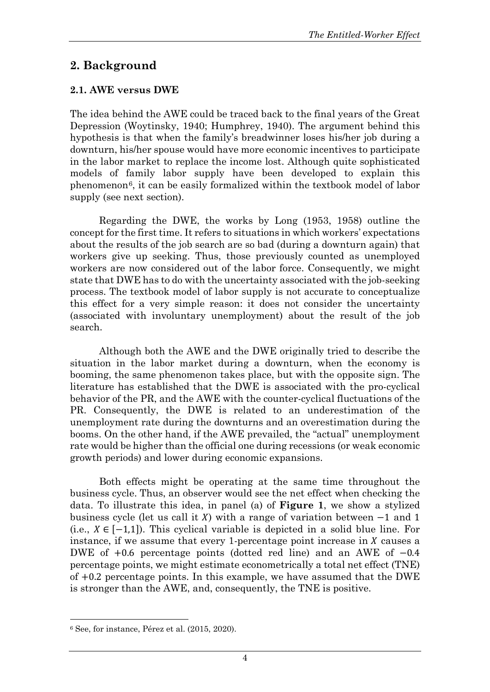# **2. Background**

# **2.1. AWE versus DWE**

The idea behind the AWE could be traced back to the final years of the Great Depression (Woytinsky, 1940; Humphrey, 1940). The argument behind this hypothesis is that when the family's breadwinner loses his/her job during a downturn, his/her spouse would have more economic incentives to participate in the labor market to replace the income lost. Although quite sophisticated models of family labor supply have been developed to explain this phenomenon[6](#page-5-0), it can be easily formalized within the textbook model of labor supply (see next section).

Regarding the DWE, the works by Long (1953, 1958) outline the concept for the first time. It refers to situations in which workers' expectations about the results of the job search are so bad (during a downturn again) that workers give up seeking. Thus, those previously counted as unemployed workers are now considered out of the labor force. Consequently, we might state that DWE has to do with the uncertainty associated with the job-seeking process. The textbook model of labor supply is not accurate to conceptualize this effect for a very simple reason: it does not consider the uncertainty (associated with involuntary unemployment) about the result of the job search.

Although both the AWE and the DWE originally tried to describe the situation in the labor market during a downturn, when the economy is booming, the same phenomenon takes place, but with the opposite sign. The literature has established that the DWE is associated with the pro-cyclical behavior of the PR, and the AWE with the counter-cyclical fluctuations of the PR. Consequently, the DWE is related to an underestimation of the unemployment rate during the downturns and an overestimation during the booms. On the other hand, if the AWE prevailed, the "actual" unemployment rate would be higher than the official one during recessions (or weak economic growth periods) and lower during economic expansions.

Both effects might be operating at the same time throughout the business cycle. Thus, an observer would see the net effect when checking the data. To illustrate this idea, in panel (a) of **Figure 1**, we show a stylized business cycle (let us call it X) with a range of variation between  $-1$  and 1 (i.e.,  $X \in [-1,1]$ ). This cyclical variable is depicted in a solid blue line. For instance, if we assume that every 1-percentage point increase in  $\chi$  causes a DWE of +0.6 percentage points (dotted red line) and an AWE of −0.4 percentage points, we might estimate econometrically a total net effect (TNE) of +0.2 percentage points. In this example, we have assumed that the DWE is stronger than the AWE, and, consequently, the TNE is positive.

<span id="page-5-0"></span><sup>6</sup> See, for instance, Pérez et al. (2015, 2020).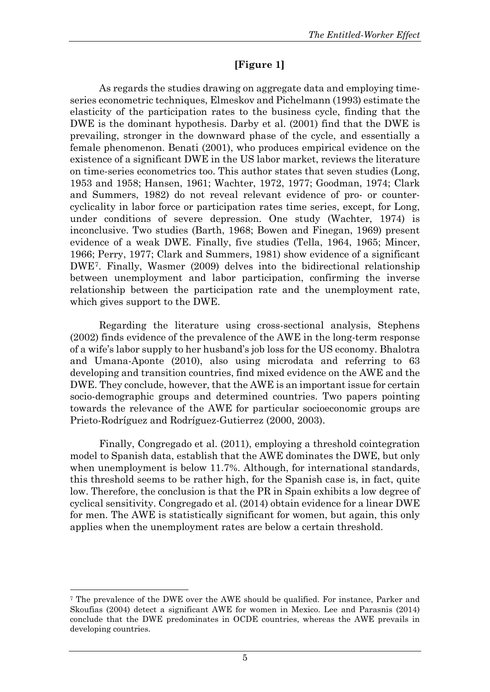# **[Figure 1]**

As regards the studies drawing on aggregate data and employing timeseries econometric techniques, Elmeskov and Pichelmann (1993) estimate the elasticity of the participation rates to the business cycle, finding that the DWE is the dominant hypothesis. Darby et al. (2001) find that the DWE is prevailing, stronger in the downward phase of the cycle, and essentially a female phenomenon. Benati (2001), who produces empirical evidence on the existence of a significant DWE in the US labor market, reviews the literature on time-series econometrics too. This author states that seven studies (Long, 1953 and 1958; Hansen, 1961; Wachter, 1972, 1977; Goodman, 1974; Clark and Summers, 1982) do not reveal relevant evidence of pro- or countercyclicality in labor force or participation rates time series, except, for Long, under conditions of severe depression. One study (Wachter, 1974) is inconclusive. Two studies (Barth, 1968; Bowen and Finegan, 1969) present evidence of a weak DWE. Finally, five studies (Tella, 1964, 1965; Mincer, 1966; Perry, 1977; Clark and Summers, 1981) show evidence of a significant DWE[7](#page-6-0). Finally, Wasmer (2009) delves into the bidirectional relationship between unemployment and labor participation, confirming the inverse relationship between the participation rate and the unemployment rate, which gives support to the DWE.

Regarding the literature using cross-sectional analysis, Stephens (2002) finds evidence of the prevalence of the AWE in the long-term response of a wife's labor supply to her husband's job loss for the US economy. Bhalotra and Umana-Aponte (2010), also using microdata and referring to 63 developing and transition countries, find mixed evidence on the AWE and the DWE. They conclude, however, that the AWE is an important issue for certain socio-demographic groups and determined countries. Two papers pointing towards the relevance of the AWE for particular socioeconomic groups are Prieto-Rodríguez and Rodríguez-Gutierrez (2000, 2003).

Finally, Congregado et al. (2011), employing a threshold cointegration model to Spanish data, establish that the AWE dominates the DWE, but only when unemployment is below 11.7%. Although, for international standards, this threshold seems to be rather high, for the Spanish case is, in fact, quite low. Therefore, the conclusion is that the PR in Spain exhibits a low degree of cyclical sensitivity. Congregado et al. (2014) obtain evidence for a linear DWE for men. The AWE is statistically significant for women, but again, this only applies when the unemployment rates are below a certain threshold.

<span id="page-6-0"></span><sup>7</sup> The prevalence of the DWE over the AWE should be qualified. For instance, Parker and Skoufias (2004) detect a significant AWE for women in Mexico. Lee and Parasnis (2014) conclude that the DWE predominates in OCDE countries, whereas the AWE prevails in developing countries.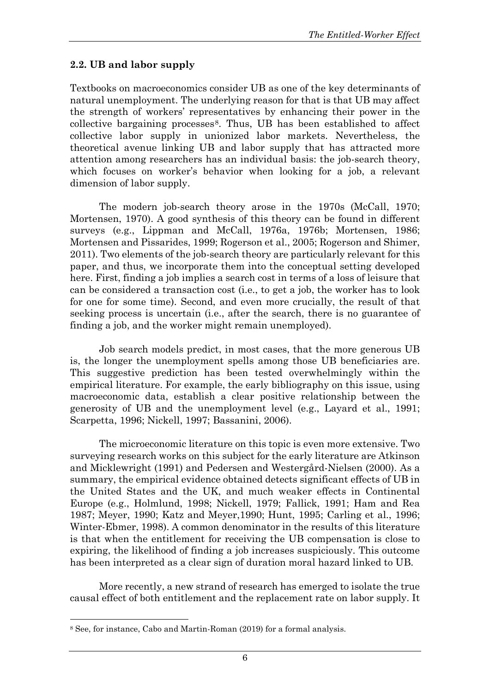# **2.2. UB and labor supply**

Textbooks on macroeconomics consider UB as one of the key determinants of natural unemployment. The underlying reason for that is that UB may affect the strength of workers' representatives by enhancing their power in the collective bargaining processes[8](#page-7-0). Thus, UB has been established to affect collective labor supply in unionized labor markets. Nevertheless, the theoretical avenue linking UB and labor supply that has attracted more attention among researchers has an individual basis: the job-search theory, which focuses on worker's behavior when looking for a job, a relevant dimension of labor supply.

The modern job-search theory arose in the 1970s (McCall, 1970; Mortensen, 1970). A good synthesis of this theory can be found in different surveys (e.g., Lippman and McCall, 1976a, 1976b; Mortensen, 1986; Mortensen and Pissarides, 1999; Rogerson et al., 2005; Rogerson and Shimer, 2011). Two elements of the job-search theory are particularly relevant for this paper, and thus, we incorporate them into the conceptual setting developed here. First, finding a job implies a search cost in terms of a loss of leisure that can be considered a transaction cost (i.e., to get a job, the worker has to look for one for some time). Second, and even more crucially, the result of that seeking process is uncertain (i.e., after the search, there is no guarantee of finding a job, and the worker might remain unemployed).

Job search models predict, in most cases, that the more generous UB is, the longer the unemployment spells among those UB beneficiaries are. This suggestive prediction has been tested overwhelmingly within the empirical literature. For example, the early bibliography on this issue, using macroeconomic data, establish a clear positive relationship between the generosity of UB and the unemployment level (e.g., Layard et al., 1991; Scarpetta, 1996; Nickell, 1997; Bassanini, 2006).

The microeconomic literature on this topic is even more extensive. Two surveying research works on this subject for the early literature are Atkinson and Micklewright (1991) and Pedersen and Westergård-Nielsen (2000). As a summary, the empirical evidence obtained detects significant effects of UB in the United States and the UK, and much weaker effects in Continental Europe (e.g., Holmlund, 1998; Nickell, 1979; Fallick, 1991; Ham and Rea 1987; Meyer, 1990; Katz and Meyer,1990; Hunt, 1995; Carling et al., 1996; Winter-Ebmer, 1998). A common denominator in the results of this literature is that when the entitlement for receiving the UB compensation is close to expiring, the likelihood of finding a job increases suspiciously. This outcome has been interpreted as a clear sign of duration moral hazard linked to UB.

More recently, a new strand of research has emerged to isolate the true causal effect of both entitlement and the replacement rate on labor supply. It

<span id="page-7-0"></span><sup>8</sup> See, for instance, Cabo and Martin-Roman (2019) for a formal analysis.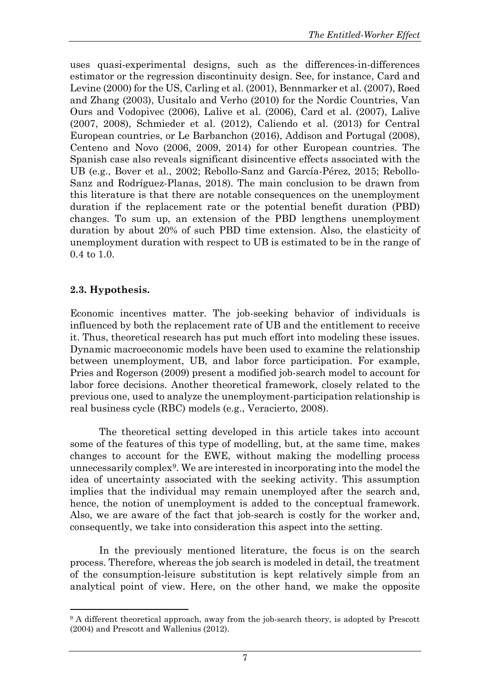uses quasi-experimental designs, such as the differences-in-differences estimator or the regression discontinuity design. See, for instance, Card and Levine (2000) for the US, Carling et al. (2001), Bennmarker et al. (2007), Røed and Zhang (2003), Uusitalo and Verho (2010) for the Nordic Countries, Van Ours and Vodopivec (2006), Lalive et al. (2006), Card et al. (2007), Lalive (2007, 2008), Schmieder et al. (2012), Caliendo et al. (2013) for Central European countries, or Le Barbanchon (2016), Addison and Portugal (2008), Centeno and Novo (2006, 2009, 2014) for other European countries. The Spanish case also reveals significant disincentive effects associated with the UB (e.g., Bover et al., 2002; Rebollo-Sanz and García-Pérez, 2015; Rebollo-Sanz and Rodríguez-Planas, 2018). The main conclusion to be drawn from this literature is that there are notable consequences on the unemployment duration if the replacement rate or the potential benefit duration (PBD) changes. To sum up, an extension of the PBD lengthens unemployment duration by about 20% of such PBD time extension. Also, the elasticity of unemployment duration with respect to UB is estimated to be in the range of 0.4 to 1.0.

# **2.3. Hypothesis.**

 $\overline{a}$ 

Economic incentives matter. The job-seeking behavior of individuals is influenced by both the replacement rate of UB and the entitlement to receive it. Thus, theoretical research has put much effort into modeling these issues. Dynamic macroeconomic models have been used to examine the relationship between unemployment, UB, and labor force participation. For example, Pries and Rogerson (2009) present a modified job-search model to account for labor force decisions. Another theoretical framework, closely related to the previous one, used to analyze the unemployment-participation relationship is real business cycle (RBC) models (e.g., Veracierto, 2008).

The theoretical setting developed in this article takes into account some of the features of this type of modelling, but, at the same time, makes changes to account for the EWE, without making the modelling process unnecessarily complex<sup>[9](#page-8-0)</sup>. We are interested in incorporating into the model the idea of uncertainty associated with the seeking activity. This assumption implies that the individual may remain unemployed after the search and, hence, the notion of unemployment is added to the conceptual framework. Also, we are aware of the fact that job-search is costly for the worker and, consequently, we take into consideration this aspect into the setting.

In the previously mentioned literature, the focus is on the search process. Therefore, whereas the job search is modeled in detail, the treatment of the consumption-leisure substitution is kept relatively simple from an analytical point of view. Here, on the other hand, we make the opposite

<span id="page-8-0"></span><sup>&</sup>lt;sup>9</sup> A different theoretical approach, away from the job-search theory, is adopted by Prescott (2004) and Prescott and Wallenius (2012).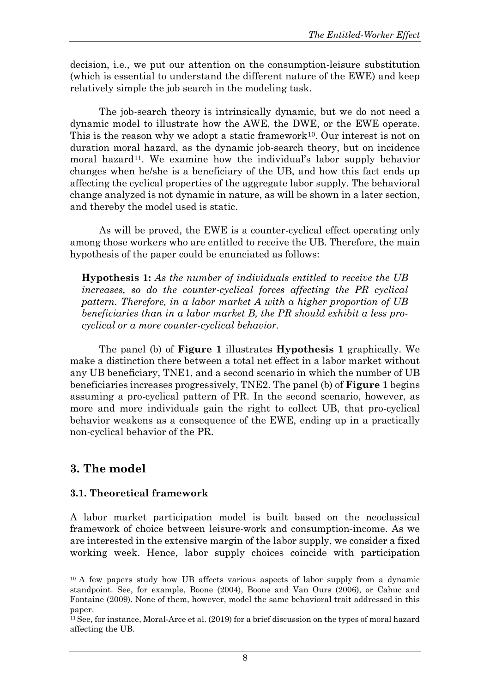decision, i.e., we put our attention on the consumption-leisure substitution (which is essential to understand the different nature of the EWE) and keep relatively simple the job search in the modeling task.

The job-search theory is intrinsically dynamic, but we do not need a dynamic model to illustrate how the AWE, the DWE, or the EWE operate. This is the reason why we adopt a static framework<sup>[10](#page-9-0)</sup>. Our interest is not on duration moral hazard, as the dynamic job-search theory, but on incidence moral hazard<sup>[11](#page-9-1)</sup>. We examine how the individual's labor supply behavior changes when he/she is a beneficiary of the UB, and how this fact ends up affecting the cyclical properties of the aggregate labor supply. The behavioral change analyzed is not dynamic in nature, as will be shown in a later section, and thereby the model used is static.

As will be proved, the EWE is a counter-cyclical effect operating only among those workers who are entitled to receive the UB. Therefore, the main hypothesis of the paper could be enunciated as follows:

**Hypothesis 1:** *As the number of individuals entitled to receive the UB increases, so do the counter-cyclical forces affecting the PR cyclical pattern. Therefore, in a labor market A with a higher proportion of UB beneficiaries than in a labor market B, the PR should exhibit a less procyclical or a more counter-cyclical behavior.*

The panel (b) of **Figure 1** illustrates **Hypothesis 1** graphically. We make a distinction there between a total net effect in a labor market without any UB beneficiary, TNE1, and a second scenario in which the number of UB beneficiaries increases progressively, TNE2. The panel (b) of **Figure 1** begins assuming a pro-cyclical pattern of PR. In the second scenario, however, as more and more individuals gain the right to collect UB, that pro-cyclical behavior weakens as a consequence of the EWE, ending up in a practically non-cyclical behavior of the PR.

# **3. The model**

 $\overline{a}$ 

## **3.1. Theoretical framework**

A labor market participation model is built based on the neoclassical framework of choice between leisure-work and consumption-income. As we are interested in the extensive margin of the labor supply, we consider a fixed working week. Hence, labor supply choices coincide with participation

<span id="page-9-0"></span><sup>&</sup>lt;sup>10</sup> A few papers study how UB affects various aspects of labor supply from a dynamic standpoint. See, for example, Boone (2004), Boone and Van Ours (2006), or Cahuc and Fontaine (2009). None of them, however, model the same behavioral trait addressed in this paper.

<span id="page-9-1"></span><sup>11</sup>See, for instance, Moral-Arce et al. (2019) for a brief discussion on the types of moral hazard affecting the UB.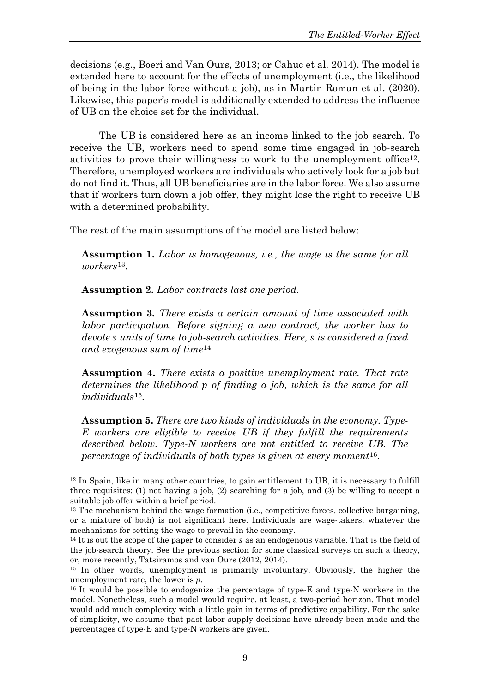decisions (e.g., Boeri and Van Ours, 2013; or Cahuc et al. 2014). The model is extended here to account for the effects of unemployment (i.e., the likelihood of being in the labor force without a job), as in Martin-Roman et al. (2020). Likewise, this paper's model is additionally extended to address the influence of UB on the choice set for the individual.

The UB is considered here as an income linked to the job search. To receive the UB, workers need to spend some time engaged in job-search activities to prove their willingness to work to the unemployment office[12](#page-10-0). Therefore, unemployed workers are individuals who actively look for a job but do not find it. Thus, all UB beneficiaries are in the labor force. We also assume that if workers turn down a job offer, they might lose the right to receive UB with a determined probability.

The rest of the main assumptions of the model are listed below:

**Assumption 1.** *Labor is homogenous, i.e., the wage is the same for all workers*[13](#page-10-1).

**Assumption 2.** *Labor contracts last one period.*

 $\overline{a}$ 

**Assumption 3***. There exists a certain amount of time associated with labor participation. Before signing a new contract, the worker has to devote units of time to job-search activities. Here, is considered a fixed and exogenous sum of time*[14](#page-10-2).

**Assumption 4.** *There exists a positive unemployment rate. That rate determines the likelihood of finding a job, which is the same for all individuals*[15](#page-10-3).

**Assumption 5.** *There are two kinds of individuals in the economy. Type-E workers are eligible to receive UB if they fulfill the requirements described below. Type-N workers are not entitled to receive UB. The percentage of individuals of both types is given at every moment*[16](#page-10-4).

<span id="page-10-0"></span><sup>12</sup> In Spain, like in many other countries, to gain entitlement to UB, it is necessary to fulfill three requisites: (1) not having a job, (2) searching for a job, and (3) be willing to accept a suitable job offer within a brief period.

<span id="page-10-1"></span> $13$  The mechanism behind the wage formation (i.e., competitive forces, collective bargaining, or a mixture of both) is not significant here. Individuals are wage-takers, whatever the mechanisms for setting the wage to prevail in the economy.

<span id="page-10-2"></span> $14$  It is out the scope of the paper to consider s as an endogenous variable. That is the field of the job-search theory. See the previous section for some classical surveys on such a theory, or, more recently, Tatsiramos and van Ours (2012, 2014).

<span id="page-10-3"></span><sup>15</sup> In other words, unemployment is primarily involuntary. Obviously, the higher the unemployment rate, the lower is  $p$ .

<span id="page-10-4"></span><sup>&</sup>lt;sup>16</sup> It would be possible to endogenize the percentage of type-E and type-N workers in the model. Nonetheless, such a model would require, at least, a two-period horizon. That model would add much complexity with a little gain in terms of predictive capability. For the sake of simplicity, we assume that past labor supply decisions have already been made and the percentages of type-E and type-N workers are given.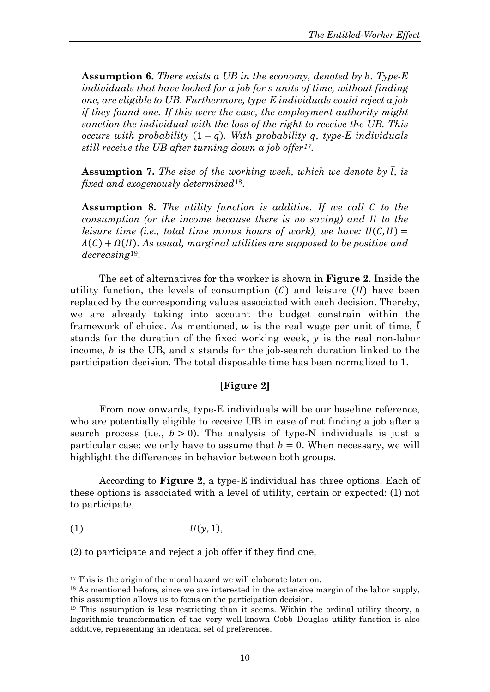**Assumption 6.** *There exists a UB in the economy, denoted by . Type-E individuals that have looked for a job for units of time, without finding one, are eligible to UB*. *Furthermore, type-E individuals could reject a job if they found one. If this were the case, the employment authority might sanction the individual with the loss of the right to receive the UB. This occurs with probability*  $(1 - q)$ *. With probability q, type-E individuals still receive the UB after turning down a job offer[17](#page-11-0).* 

**Assumption 7.** *The size of the working week, which we denote by*  ̅*, is fixed and exogenously determined*[18](#page-11-1).

**Assumption 8.** The utility function is additive. If we call C to the *consumption (or the income because there is no saving) and to the leisure time (i.e., total time minus hours of work), we have:*  $U(C, H) =$  $\Lambda(C) + \Omega(H)$ . As usual, marginal utilities are supposed to be positive and *decreasing*[19](#page-11-2).

The set of alternatives for the worker is shown in **Figure 2**. Inside the utility function, the levels of consumption  $(C)$  and leisure  $(H)$  have been replaced by the corresponding values associated with each decision. Thereby, we are already taking into account the budget constrain within the framework of choice. As mentioned,  $w$  is the real wage per unit of time,  $\overline{l}$ stands for the duration of the fixed working week,  $y$  is the real non-labor income,  $b$  is the UB, and  $s$  stands for the job-search duration linked to the participation decision. The total disposable time has been normalized to 1.

## **[Figure 2]**

From now onwards, type-E individuals will be our baseline reference, who are potentially eligible to receive UB in case of not finding a job after a search process (i.e.,  $b > 0$ ). The analysis of type-N individuals is just a particular case: we only have to assume that  $b = 0$ . When necessary, we will highlight the differences in behavior between both groups.

According to **Figure 2**, a type-E individual has three options. Each of these options is associated with a level of utility, certain or expected: (1) not to participate,

$$
(1) \tU(y,1),
$$

 $\overline{a}$ 

(2) to participate and reject a job offer if they find one,

<span id="page-11-0"></span><sup>&</sup>lt;sup>17</sup> This is the origin of the moral hazard we will elaborate later on.

<span id="page-11-1"></span><sup>&</sup>lt;sup>18</sup> As mentioned before, since we are interested in the extensive margin of the labor supply, this assumption allows us to focus on the participation decision.

<span id="page-11-2"></span><sup>19</sup> This assumption is less restricting than it seems. Within the ordinal utility theory, a logarithmic transformation of the very well-known Cobb–Douglas utility function is also additive, representing an identical set of preferences.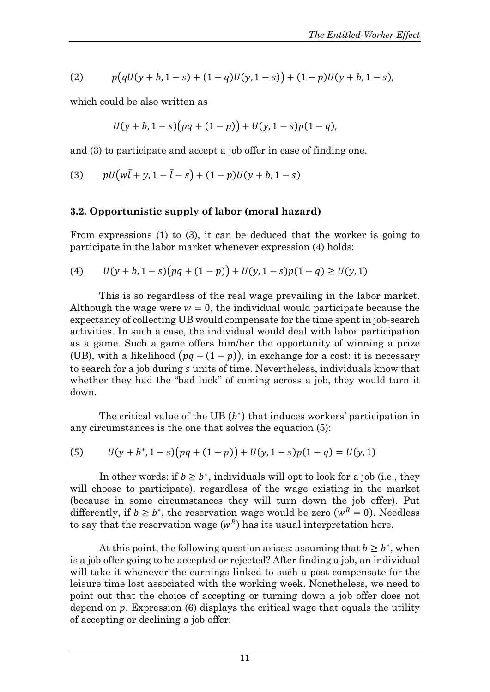(2) 
$$
p\big(qU(y+b,1-s)+(1-q)U(y,1-s)\big)+(1-p)U(y+b,1-s),
$$

which could be also written as

$$
U(y + b, 1 - s)(pq + (1 - p)) + U(y, 1 - s)p(1 - q),
$$

and (3) to participate and accept a job offer in case of finding one.

(3) 
$$
pU(w\bar{l} + y, 1 - \bar{l} - s) + (1 - p)U(y + b, 1 - s)
$$

#### **3.2. Opportunistic supply of labor (moral hazard)**

From expressions (1) to (3), it can be deduced that the worker is going to participate in the labor market whenever expression (4) holds:

(4) 
$$
U(y + b, 1 - s)(pq + (1 - p)) + U(y, 1 - s)p(1 - q) \ge U(y, 1)
$$

This is so regardless of the real wage prevailing in the labor market. Although the wage were  $w = 0$ , the individual would participate because the expectancy of collecting UB would compensate for the time spent in job-search activities. In such a case, the individual would deal with labor participation as a game. Such a game offers him/her the opportunity of winning a prize (UB), with a likelihood  $\left(\frac{pq + (1 - p)}{p}\right)$ , in exchange for a cost: it is necessary to search for a job during *s* units of time. Nevertheless, individuals know that whether they had the "bad luck" of coming across a job, they would turn it down.

The critical value of the UB  $(b^*)$  that induces workers' participation in any circumstances is the one that solves the equation (5):

(5) 
$$
U(y + b^*, 1 - s)(pq + (1 - p)) + U(y, 1 - s)p(1 - q) = U(y, 1)
$$

In other words: if  $b \ge b^*$ , individuals will opt to look for a job (i.e., they will choose to participate), regardless of the wage existing in the market (because in some circumstances they will turn down the job offer). Put differently, if  $b \ge b^*$ , the reservation wage would be zero ( $w^R = 0$ ). Needless to say that the reservation wage  $(w^R)$  has its usual interpretation here.

At this point, the following question arises: assuming that  $b \geq b^*$ , when is a job offer going to be accepted or rejected? After finding a job, an individual will take it whenever the earnings linked to such a post compensate for the leisure time lost associated with the working week. Nonetheless, we need to point out that the choice of accepting or turning down a job offer does not depend on  $p$ . Expression  $(6)$  displays the critical wage that equals the utility of accepting or declining a job offer: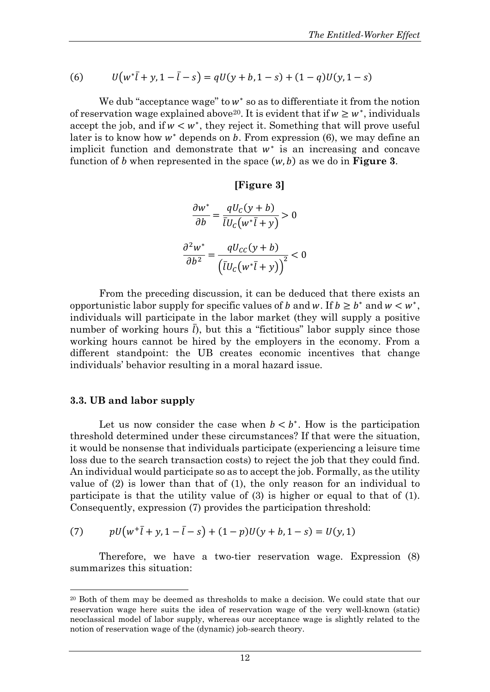(6) 
$$
U(w^*\bar{l} + y, 1 - \bar{l} - s) = qU(y + b, 1 - s) + (1 - q)U(y, 1 - s)
$$

We dub "acceptance wage" to  $w^*$  so as to differentiate it from the notion of reservation wage explained above<sup>[20](#page-13-0)</sup>. It is evident that if  $w \geq w^*$ , individuals accept the job, and if  $w < w^*$ , they reject it. Something that will prove useful later is to know how  $w^*$  depends on  $b$ . From expression (6), we may define an implicit function and demonstrate that  $w^*$  is an increasing and concave function of *b* when represented in the space  $(w, b)$  as we do in **Figure 3**.

#### **[Figure 3]**

$$
\frac{\partial w^*}{\partial b} = \frac{qU_c(y+b)}{\overline{U}_c(w^*\overline{l} + y)} > 0
$$

$$
\frac{\partial^2 w^*}{\partial b^2} = \frac{qU_{cc}(y+b)}{\left(\overline{U}_c(w^*\overline{l} + y)\right)^2} < 0
$$

From the preceding discussion, it can be deduced that there exists an opportunistic labor supply for specific values of *b* and *w*. If  $b \geq b^*$  and  $w < w^*$ , individuals will participate in the labor market (they will supply a positive number of working hours  $\overline{l}$ , but this a "fictitious" labor supply since those working hours cannot be hired by the employers in the economy. From a different standpoint: the UB creates economic incentives that change individuals' behavior resulting in a moral hazard issue.

#### **3.3. UB and labor supply**

 $\overline{a}$ 

Let us now consider the case when  $b < b^*$ . How is the participation threshold determined under these circumstances? If that were the situation, it would be nonsense that individuals participate (experiencing a leisure time loss due to the search transaction costs) to reject the job that they could find. An individual would participate so as to accept the job. Formally, as the utility value of (2) is lower than that of (1), the only reason for an individual to participate is that the utility value of (3) is higher or equal to that of (1). Consequently, expression (7) provides the participation threshold:

(7) 
$$
pU(w^+\bar{l}+y, 1-\bar{l}-s) + (1-p)U(y+b, 1-s) = U(y,1)
$$

Therefore, we have a two-tier reservation wage. Expression (8) summarizes this situation:

<span id="page-13-0"></span><sup>&</sup>lt;sup>20</sup> Both of them may be deemed as thresholds to make a decision. We could state that our reservation wage here suits the idea of reservation wage of the very well-known (static) neoclassical model of labor supply, whereas our acceptance wage is slightly related to the notion of reservation wage of the (dynamic) job-search theory.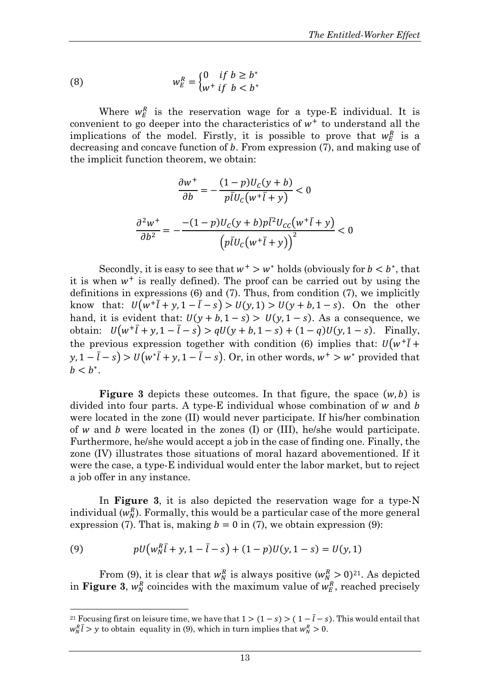(8) 
$$
w_E^R = \begin{cases} 0 & \text{if } b \ge b^* \\ w^+ & \text{if } b < b^* \end{cases}
$$

Where  $w_E^R$  is the reservation wage for a type-E individual. It is convenient to go deeper into the characteristics of  $w^+$  to understand all the implications of the model. Firstly, it is possible to prove that  $w_E^R$  is a decreasing and concave function of  $b$ . From expression  $(7)$ , and making use of the implicit function theorem, we obtain:

$$
\frac{\partial w^+}{\partial b} = -\frac{(1-p)U_C(y+b)}{p\overline{l}U_C(w^+\overline{l}+y)} < 0
$$

$$
\frac{\partial^2 w^+}{\partial b^2} = -\frac{-(1-p)U_C(y+b)p\overline{l}^2U_{CC}(w^+\overline{l}+y)}{\left(p\overline{l}U_C(w^+\overline{l}+y)\right)^2} < 0
$$

Secondly, it is easy to see that  $w^+ > w^*$  holds (obviously for  $b < b^*$ , that it is when  $w^+$  is really defined). The proof can be carried out by using the definitions in expressions (6) and (7). Thus, from condition (7), we implicitly know that:  $U(w^+ \bar{l} + y, 1 - \bar{l} - s) > U(y, 1) > U(y + b, 1 - s)$ . On the other hand, it is evident that:  $U(y + b, 1 - s) > U(y, 1 - s)$ . As a consequence, we obtain:  $U(w^+\bar{l} + y, 1 - \bar{l} - s) > qU(y + b, 1 - s) + (1 - q)U(y, 1 - s)$ . Finally, the previous expression together with condition (6) implies that:  $U(w^+ \bar{l} +$  $y, 1 - l - s$ ) >  $U(w^*l + y, 1 - l - s)$ . Or, in other words,  $w^+$  >  $w^*$  provided that  $b < b^*$ .

**Figure 3** depicts these outcomes. In that figure, the space  $(w, b)$  is divided into four parts. A type-E individual whose combination of  $w$  and  $b$ were located in the zone (II) would never participate. If his/her combination of  $w$  and  $b$  were located in the zones (I) or (III), he/she would participate. Furthermore, he/she would accept a job in the case of finding one. Finally, the zone (IV) illustrates those situations of moral hazard abovementioned. If it were the case, a type-E individual would enter the labor market, but to reject a job offer in any instance.

In **Figure 3**, it is also depicted the reservation wage for a type-N individual  $(w_N^R)$ . Formally, this would be a particular case of the more general expression (7). That is, making  $b = 0$  in (7), we obtain expression (9):

(9) 
$$
pU(w_N^R\bar{l} + y, 1 - \bar{l} - s) + (1 - p)U(y, 1 - s) = U(y, 1)
$$

 $\overline{a}$ 

From (9), it is clear that  $w_N^R$  is always positive  $(w_N^R > 0)^{21}$ . As depicted in **Figure 3**,  $w_N^R$  coincides with the maximum value of  $w_E^R$ , reached precisely

<sup>&</sup>lt;sup>21</sup> Focusing first on leisure time, we have that  $1 > (1 - s) > (1 - \overline{l} - s)$ . This would entail that  $w_N^R \bar{l} > y$  to obtain equality in (9), which in turn implies that  $w_N^R > 0$ .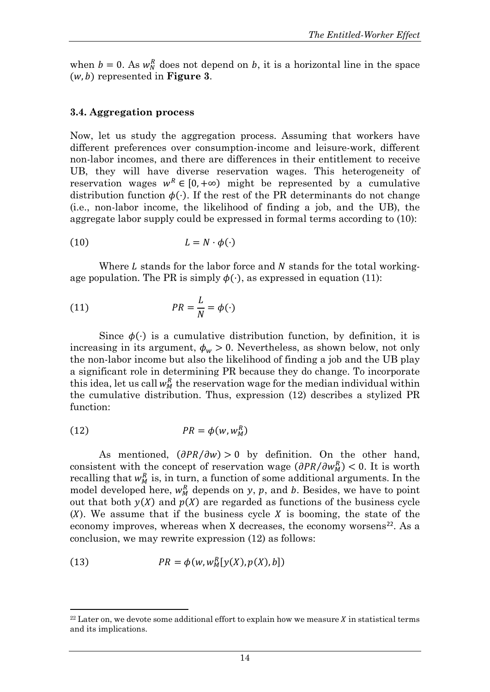when  $b = 0$ . As  $w_N^R$  does not depend on b, it is a horizontal line in the space  $(w, b)$  represented in **Figure 3**.

#### **3.4. Aggregation process**

Now, let us study the aggregation process. Assuming that workers have different preferences over consumption-income and leisure-work, different non-labor incomes, and there are differences in their entitlement to receive UB, they will have diverse reservation wages. This heterogeneity of reservation wages  $w^R \in [0, +\infty)$  might be represented by a cumulative distribution function  $\phi(\cdot)$ . If the rest of the PR determinants do not change (i.e., non-labor income, the likelihood of finding a job, and the UB), the aggregate labor supply could be expressed in formal terms according to (10):

$$
(10) \t\t\t L = N \cdot \phi(\cdot)
$$

Where  $L$  stands for the labor force and  $N$  stands for the total workingage population. The PR is simply  $\phi(\cdot)$ , as expressed in equation (11):

(11) 
$$
PR = \frac{L}{N} = \phi(\cdot)
$$

Since  $\phi(\cdot)$  is a cumulative distribution function, by definition, it is increasing in its argument,  $\phi_w > 0$ . Nevertheless, as shown below, not only the non-labor income but also the likelihood of finding a job and the UB play a significant role in determining PR because they do change. To incorporate this idea, let us call  $w_M^R$  the reservation wage for the median individual within the cumulative distribution. Thus, expression (12) describes a stylized PR function:

$$
(12) \t\t\t PR = \phi(w, w_M^R)
$$

As mentioned,  $(\partial PR/\partial w) > 0$  by definition. On the other hand, consistent with the concept of reservation wage  $(\partial PR/\partial w_M^R)$  < 0. It is worth recalling that  $w_M^R$  is, in turn, a function of some additional arguments. In the model developed here,  $w_M^R$  depends on y, p, and b. Besides, we have to point out that both  $y(X)$  and  $p(X)$  are regarded as functions of the business cycle  $(X)$ . We assume that if the business cycle X is booming, the state of the economy improves, whereas when X decreases, the economy worsens<sup>[22](#page-15-0)</sup>. As a conclusion, we may rewrite expression (12) as follows:

(13) 
$$
PR = \phi(w, w_M^R[y(X), p(X), b])
$$

<span id="page-15-0"></span> $22$  Later on, we devote some additional effort to explain how we measure  $\chi$  in statistical terms and its implications.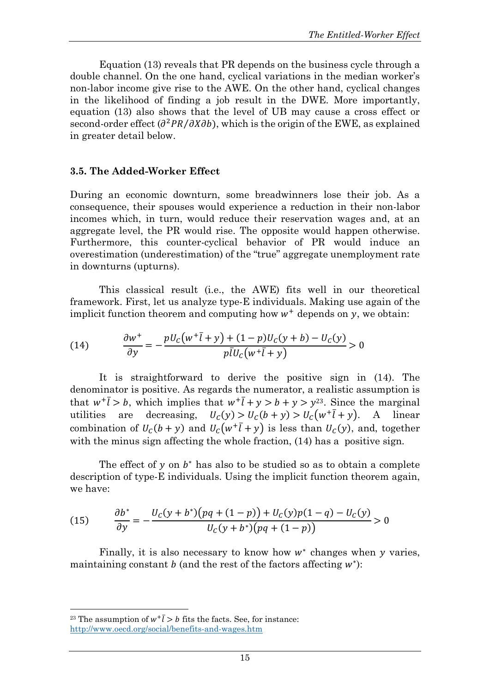Equation (13) reveals that PR depends on the business cycle through a double channel. On the one hand, cyclical variations in the median worker's non-labor income give rise to the AWE. On the other hand, cyclical changes in the likelihood of finding a job result in the DWE. More importantly, equation (13) also shows that the level of UB may cause a cross effect or second-order effect  $\left(\frac{\partial^2 PR}{\partial X \partial b}\right)$ , which is the origin of the EWE, as explained in greater detail below.

## **3.5. The Added-Worker Effect**

During an economic downturn, some breadwinners lose their job. As a consequence, their spouses would experience a reduction in their non-labor incomes which, in turn, would reduce their reservation wages and, at an aggregate level, the PR would rise. The opposite would happen otherwise. Furthermore, this counter-cyclical behavior of PR would induce an overestimation (underestimation) of the "true" aggregate unemployment rate in downturns (upturns).

This classical result (i.e., the AWE) fits well in our theoretical framework. First, let us analyze type-E individuals. Making use again of the implicit function theorem and computing how  $w^+$  depends on  $y$ , we obtain:

(14) 
$$
\frac{\partial w^+}{\partial y} = -\frac{pU_c(w^+ \bar{l} + y) + (1 - p)U_c(y + b) - U_c(y)}{p\bar{l}U_c(w^+ \bar{l} + y)} > 0
$$

It is straightforward to derive the positive sign in (14). The denominator is positive. As regards the numerator, a realistic assumption is that  $w^+l > b$ , which implies that  $w^+l + y > b + y > y^{23}$ . Since the marginal utilities are decreasing,  $U_c(y) > U_c(b+y) > U_c(w^+l^+y)$ . A linear combination of  $U_c(b + y)$  and  $U_c(w^+ \bar{l} + y)$  is less than  $U_c(y)$ , and, together with the minus sign affecting the whole fraction,  $(14)$  has a positive sign.

The effect of  $y$  on  $b^*$  has also to be studied so as to obtain a complete description of type-E individuals. Using the implicit function theorem again, we have:

(15) 
$$
\frac{\partial b^*}{\partial y} = -\frac{U_c(y + b^*)(pq + (1 - p)) + U_c(y)p(1 - q) - U_c(y)}{U_c(y + b^*)(pq + (1 - p))} > 0
$$

Finally, it is also necessary to know how  $w^*$  changes when y varies, maintaining constant  $b$  (and the rest of the factors affecting  $w^*$ ):

<sup>&</sup>lt;sup>23</sup> The assumption of  $w^+ \bar{l} > b$  fits the facts. See, for instance: http://www.oecd.org/social/benefits-and-wages.htm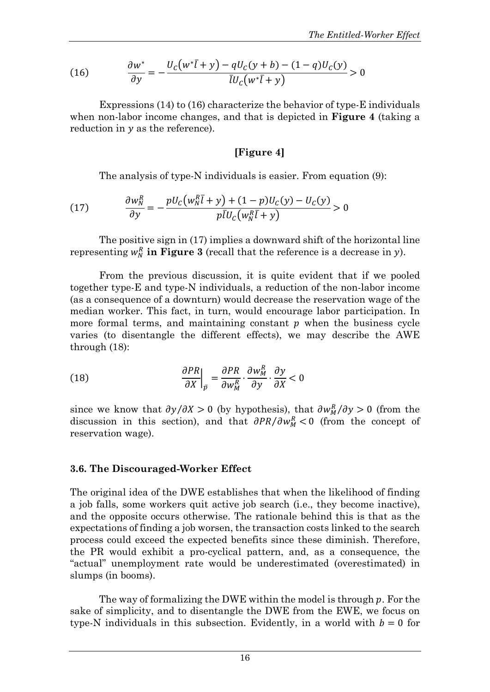(16) 
$$
\frac{\partial w^*}{\partial y} = -\frac{U_C(w^*\bar{l} + y) - qU_C(y + b) - (1 - q)U_C(y)}{\bar{l}U_C(w^*\bar{l} + y)} > 0
$$

Expressions (14) to (16) characterize the behavior of type-E individuals when non-labor income changes, and that is depicted in **Figure 4** (taking a reduction in  $y$  as the reference).

## **[Figure 4]**

The analysis of type-N individuals is easier. From equation (9):

(17) 
$$
\frac{\partial w_N^R}{\partial y} = -\frac{pU_c\left(w_N^R \overline{l} + y\right) + (1 - p)U_c(y) - U_c(y)}{p\overline{l}U_c\left(w_N^R \overline{l} + y\right)} > 0
$$

The positive sign in (17) implies a downward shift of the horizontal line representing  $w_N^R$  **in Figure 3** (recall that the reference is a decrease in y).

From the previous discussion, it is quite evident that if we pooled together type-E and type-N individuals, a reduction of the non-labor income (as a consequence of a downturn) would decrease the reservation wage of the median worker. This fact, in turn, would encourage labor participation. In more formal terms, and maintaining constant  $p$  when the business cycle varies (to disentangle the different effects), we may describe the AWE through (18):

(18) 
$$
\frac{\partial PR}{\partial X}\Big|_{\bar{p}} = \frac{\partial PR}{\partial w_M^R} \cdot \frac{\partial w_M^R}{\partial y} \cdot \frac{\partial y}{\partial X} < 0
$$

since we know that  $\partial y / \partial X > 0$  (by hypothesis), that  $\partial w_M^R / \partial y > 0$  (from the discussion in this section), and that  $\partial PR/\partial w_M^R < 0$  (from the concept of reservation wage).

## **3.6. The Discouraged-Worker Effect**

The original idea of the DWE establishes that when the likelihood of finding a job falls, some workers quit active job search (i.e., they become inactive), and the opposite occurs otherwise. The rationale behind this is that as the expectations of finding a job worsen, the transaction costs linked to the search process could exceed the expected benefits since these diminish. Therefore, the PR would exhibit a pro-cyclical pattern, and, as a consequence, the "actual" unemployment rate would be underestimated (overestimated) in slumps (in booms).

The way of formalizing the DWE within the model is through  $p$ . For the sake of simplicity, and to disentangle the DWE from the EWE, we focus on type-N individuals in this subsection. Evidently, in a world with  $b = 0$  for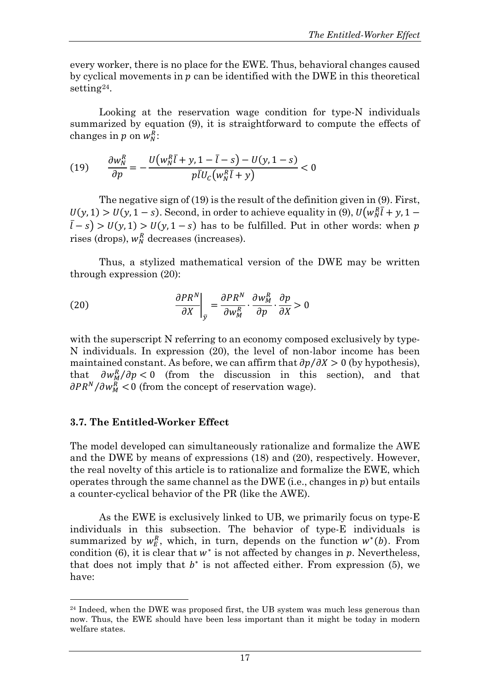every worker, there is no place for the EWE. Thus, behavioral changes caused by cyclical movements in  $p$  can be identified with the DWE in this theoretical setting<sup>[24](#page-18-0)</sup>.

Looking at the reservation wage condition for type-N individuals summarized by equation (9), it is straightforward to compute the effects of changes in  $p$  on  $w_N^R$ :

(19) 
$$
\frac{\partial w_N^R}{\partial p} = -\frac{U(w_N^R \bar{l} + y, 1 - \bar{l} - s) - U(y, 1 - s)}{p \bar{l} U_C(w_N^R \bar{l} + y)} < 0
$$

The negative sign of (19) is the result of the definition given in (9). First,  $U(y, 1) > U(y, 1-s)$ . Second, in order to achieve equality in (9),  $U(w_N^R l + y, 1-s)$  $(\bar{l} - s) > U(y, 1) > U(y, 1 - s)$  has to be fulfilled. Put in other words: when p rises (drops),  $w_N^R$  decreases (increases).

Thus, a stylized mathematical version of the DWE may be written through expression (20):

(20) 
$$
\left. \frac{\partial PR^N}{\partial X} \right|_{\bar{y}} = \frac{\partial PR^N}{\partial w_M^R} \cdot \frac{\partial w_M^R}{\partial p} \cdot \frac{\partial p}{\partial X} > 0
$$

with the superscript N referring to an economy composed exclusively by type-N individuals. In expression (20), the level of non-labor income has been maintained constant. As before, we can affirm that  $\partial p / \partial X > 0$  (by hypothesis), that  $\partial w_M^R / \partial p < 0$  (from the discussion in this section), and that  $\partial PR^N/\partial w_M^R < 0$  (from the concept of reservation wage).

# **3.7. The Entitled-Worker Effect**

 $\overline{a}$ 

The model developed can simultaneously rationalize and formalize the AWE and the DWE by means of expressions (18) and (20), respectively. However, the real novelty of this article is to rationalize and formalize the EWE, which operates through the same channel as the DWE (i.e., changes in  $p$ ) but entails a counter-cyclical behavior of the PR (like the AWE).

As the EWE is exclusively linked to UB, we primarily focus on type-E individuals in this subsection. The behavior of type-E individuals is summarized by  $w_E^R$ , which, in turn, depends on the function  $w^*(b)$ . From condition (6), it is clear that  $w^*$  is not affected by changes in  $p$ . Nevertheless, that does not imply that  $b^*$  is not affected either. From expression (5), we have:

<span id="page-18-0"></span><sup>&</sup>lt;sup>24</sup> Indeed, when the DWE was proposed first, the UB system was much less generous than now. Thus, the EWE should have been less important than it might be today in modern welfare states.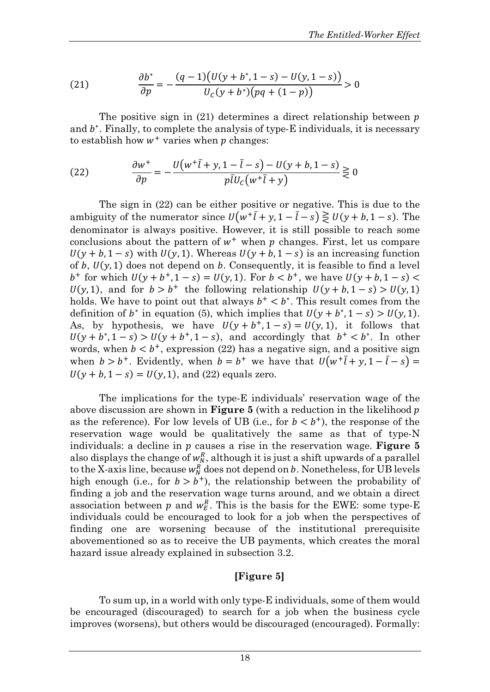(21) 
$$
\frac{\partial b^*}{\partial p} = -\frac{(q-1)(U(y+b^*,1-s)-U(y,1-s))}{U_c(y+b^*)(pq+(1-p))} > 0
$$

The positive sign in (21) determines a direct relationship between  $p$ and  $b^*$ . Finally, to complete the analysis of type-E individuals, it is necessary to establish how  $w^+$  varies when  $p$  changes:

(22) 
$$
\frac{\partial w^+}{\partial p} = -\frac{U(w^+ \overline{l} + y, 1 - \overline{l} - s) - U(y + b, 1 - s)}{p \overline{l} U_c(w^+ \overline{l} + y)} \gtrless 0
$$

The sign in (22) can be either positive or negative. This is due to the ambiguity of the numerator since  $U(w^+\bar{l} + y, 1 - \bar{l} - s) \gtrless U(y + b, 1 - s)$ . The denominator is always positive. However, it is still possible to reach some conclusions about the pattern of  $w^+$  when  $p$  changes. First, let us compare  $U(y + b, 1 - s)$  with  $U(y, 1)$ . Whereas  $U(y + b, 1 - s)$  is an increasing function of b,  $U(y, 1)$  does not depend on b. Consequently, it is feasible to find a level  $b^+$  for which  $U(y + b^+, 1 - s) = U(y, 1)$ . For  $b < b^+$ , we have  $U(y + b, 1 - s)$  $U(y, 1)$ , and for  $b > b^+$  the following relationship  $U(y + b, 1 - s) > U(y, 1)$ holds. We have to point out that always  $b^+ < b^*$ . This result comes from the definition of  $b^*$  in equation (5), which implies that  $U(y + b^*, 1 - s) > U(y, 1)$ . As, by hypothesis, we have  $U(y + b^+, 1 - s) = U(y, 1)$ , it follows that  $U(y + b^*, 1 - s) > U(y + b^*, 1 - s)$ , and accordingly that  $b^+ < b^*$ . In other words, when  $b < b^{+}$ , expression (22) has a negative sign, and a positive sign when  $b > b^+$ . Evidently, when  $b = b^+$  we have that  $U(w^+ \bar{l} + y, 1 - \bar{l} - s) =$  $U(y + b, 1 - s) = U(y, 1)$ , and (22) equals zero.

The implications for the type-E individuals' reservation wage of the above discussion are shown in **Figure 5** (with a reduction in the likelihood as the reference). For low levels of UB (i.e., for  $b < b^+$ ), the response of the reservation wage would be qualitatively the same as that of type-N individuals: a decline in p causes a rise in the reservation wage. **Figure 5** also displays the change of  $w_N^R$ , although it is just a shift upwards of a parallel to the X-axis line, because  $w_N^R$  does not depend on b. Nonetheless, for UB levels high enough (i.e., for  $b > b^+$ ), the relationship between the probability of finding a job and the reservation wage turns around, and we obtain a direct association between  $p$  and  $w_E^R$ . This is the basis for the EWE: some type-E individuals could be encouraged to look for a job when the perspectives of finding one are worsening because of the institutional prerequisite abovementioned so as to receive the UB payments, which creates the moral hazard issue already explained in subsection 3.2.

## **[Figure 5]**

To sum up, in a world with only type-E individuals, some of them would be encouraged (discouraged) to search for a job when the business cycle improves (worsens), but others would be discouraged (encouraged). Formally: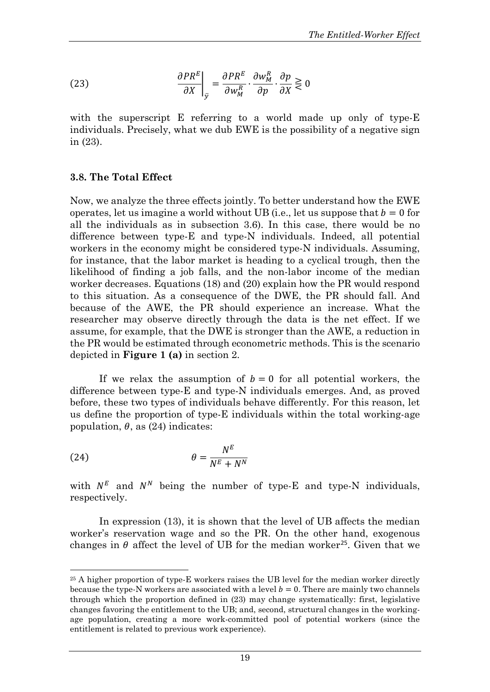(23) 
$$
\left. \frac{\partial PR^{E}}{\partial X} \right|_{\bar{y}} = \frac{\partial PR^{E}}{\partial w_{M}^{R}} \cdot \frac{\partial w_{M}^{R}}{\partial p} \cdot \frac{\partial p}{\partial X} \gtrless 0
$$

with the superscript E referring to a world made up only of type-E individuals. Precisely, what we dub EWE is the possibility of a negative sign in (23).

## **3.8. The Total Effect**

Now, we analyze the three effects jointly. To better understand how the EWE operates, let us imagine a world without UB (i.e., let us suppose that  $b = 0$  for all the individuals as in subsection 3.6). In this case, there would be no difference between type-E and type-N individuals. Indeed, all potential workers in the economy might be considered type-N individuals. Assuming, for instance, that the labor market is heading to a cyclical trough, then the likelihood of finding a job falls, and the non-labor income of the median worker decreases. Equations (18) and (20) explain how the PR would respond to this situation. As a consequence of the DWE, the PR should fall. And because of the AWE, the PR should experience an increase. What the researcher may observe directly through the data is the net effect. If we assume, for example, that the DWE is stronger than the AWE, a reduction in the PR would be estimated through econometric methods. This is the scenario depicted in **Figure 1 (a)** in section 2.

If we relax the assumption of  $b = 0$  for all potential workers, the difference between type-E and type-N individuals emerges. And, as proved before, these two types of individuals behave differently. For this reason, let us define the proportion of type-E individuals within the total working-age population,  $\theta$ , as (24) indicates:

(24) 
$$
\theta = \frac{N^E}{N^E + N^N}
$$

 $\overline{a}$ 

with  $N^E$  and  $N^N$  being the number of type-E and type-N individuals, respectively.

In expression (13), it is shown that the level of UB affects the median worker's reservation wage and so the PR. On the other hand, exogenous changes in  $\theta$  affect the level of UB for the median worker<sup>[25](#page-20-0)</sup>. Given that we

<span id="page-20-0"></span><sup>&</sup>lt;sup>25</sup> A higher proportion of type-E workers raises the UB level for the median worker directly because the type-N workers are associated with a level  $b = 0$ . There are mainly two channels through which the proportion defined in (23) may change systematically: first, legislative changes favoring the entitlement to the UB; and, second, structural changes in the workingage population, creating a more work-committed pool of potential workers (since the entitlement is related to previous work experience).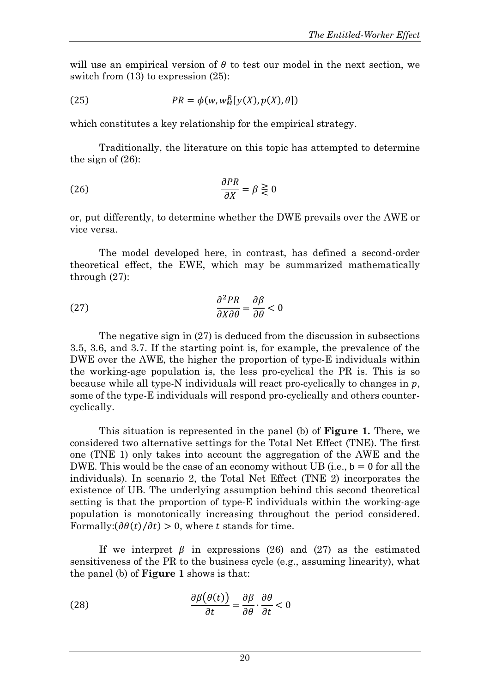will use an empirical version of  $\theta$  to test our model in the next section, we switch from  $(13)$  to expression  $(25)$ :

(25) 
$$
PR = \phi(w, w_M^R[y(X), p(X), \theta])
$$

which constitutes a key relationship for the empirical strategy.

Traditionally, the literature on this topic has attempted to determine the sign of (26):

(26) 
$$
\frac{\partial PR}{\partial X} = \beta \gtreqless 0
$$

or, put differently, to determine whether the DWE prevails over the AWE or vice versa.

The model developed here, in contrast, has defined a second-order theoretical effect, the EWE, which may be summarized mathematically through (27):

(27) 
$$
\frac{\partial^2 PR}{\partial X \partial \theta} = \frac{\partial \beta}{\partial \theta} < 0
$$

The negative sign in (27) is deduced from the discussion in subsections 3.5, 3.6, and 3.7. If the starting point is, for example, the prevalence of the DWE over the AWE, the higher the proportion of type-E individuals within the working-age population is, the less pro-cyclical the PR is. This is so because while all type-N individuals will react pro-cyclically to changes in  $p$ , some of the type-E individuals will respond pro-cyclically and others countercyclically.

This situation is represented in the panel (b) of **Figure 1.** There, we considered two alternative settings for the Total Net Effect (TNE). The first one (TNE 1) only takes into account the aggregation of the AWE and the DWE. This would be the case of an economy without UB (i.e.,  $b = 0$  for all the individuals). In scenario 2, the Total Net Effect (TNE 2) incorporates the existence of UB. The underlying assumption behind this second theoretical setting is that the proportion of type-E individuals within the working-age population is monotonically increasing throughout the period considered. Formally: $(\partial \theta(t)/\partial t) > 0$ , where t stands for time.

If we interpret  $\beta$  in expressions (26) and (27) as the estimated sensitiveness of the PR to the business cycle (e.g., assuming linearity), what the panel (b) of **Figure 1** shows is that:

(28) 
$$
\frac{\partial \beta(\theta(t))}{\partial t} = \frac{\partial \beta}{\partial \theta} \cdot \frac{\partial \theta}{\partial t} < 0
$$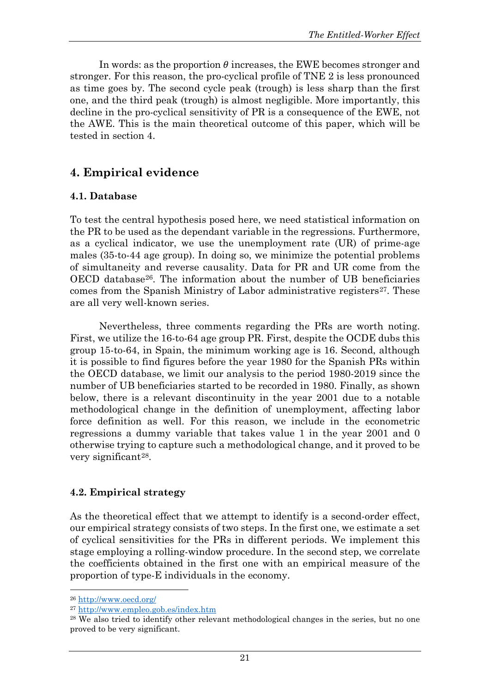In words: as the proportion  $\theta$  increases, the EWE becomes stronger and stronger. For this reason, the pro-cyclical profile of TNE 2 is less pronounced as time goes by. The second cycle peak (trough) is less sharp than the first one, and the third peak (trough) is almost negligible. More importantly, this decline in the pro-cyclical sensitivity of PR is a consequence of the EWE, not the AWE. This is the main theoretical outcome of this paper, which will be tested in section 4.

# **4. Empirical evidence**

## **4.1. Database**

To test the central hypothesis posed here, we need statistical information on the PR to be used as the dependant variable in the regressions. Furthermore, as a cyclical indicator, we use the unemployment rate (UR) of prime-age males (35-to-44 age group). In doing so, we minimize the potential problems of simultaneity and reverse causality. Data for PR and UR come from the OECD database[26](#page-22-0). The information about the number of UB beneficiaries comes from the Spanish Ministry of Labor administrative registers<sup>[27](#page-22-1)</sup>. These are all very well-known series.

Nevertheless, three comments regarding the PRs are worth noting. First, we utilize the 16-to-64 age group PR. First, despite the OCDE dubs this group 15-to-64, in Spain, the minimum working age is 16. Second, although it is possible to find figures before the year 1980 for the Spanish PRs within the OECD database, we limit our analysis to the period 1980-2019 since the number of UB beneficiaries started to be recorded in 1980. Finally, as shown below, there is a relevant discontinuity in the year 2001 due to a notable methodological change in the definition of unemployment, affecting labor force definition as well. For this reason, we include in the econometric regressions a dummy variable that takes value 1 in the year 2001 and 0 otherwise trying to capture such a methodological change, and it proved to be very significant[28](#page-22-2).

## **4.2. Empirical strategy**

As the theoretical effect that we attempt to identify is a second-order effect, our empirical strategy consists of two steps. In the first one, we estimate a set of cyclical sensitivities for the PRs in different periods. We implement this stage employing a rolling-window procedure. In the second step, we correlate the coefficients obtained in the first one with an empirical measure of the proportion of type-E individuals in the economy.

<span id="page-22-0"></span><sup>26</sup> http://www.oecd.org/

<span id="page-22-1"></span><sup>27</sup> http://www.empleo.gob.es/index.htm

<span id="page-22-2"></span><sup>28</sup> We also tried to identify other relevant methodological changes in the series, but no one proved to be very significant.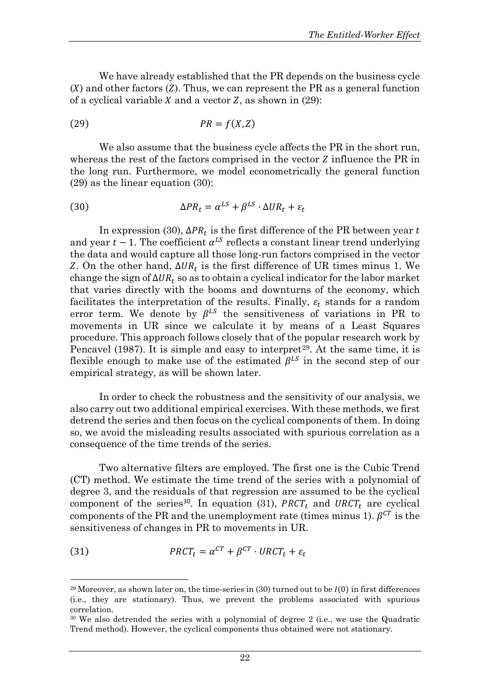We have already established that the PR depends on the business cycle  $(X)$  and other factors  $(Z)$ . Thus, we can represent the PR as a general function of a cyclical variable  $X$  and a vector  $Z$ , as shown in (29):

$$
(29) \t\t\t PR = f(X,Z)
$$

We also assume that the business cycle affects the PR in the short run, whereas the rest of the factors comprised in the vector  $Z$  influence the PR in the long run. Furthermore, we model econometrically the general function (29) as the linear equation (30):

(30) 
$$
\Delta PR_t = \alpha^{LS} + \beta^{LS} \cdot \Delta UR_t + \varepsilon_t
$$

In expression (30),  $ΔPR_t$  is the first difference of the PR between year t and year  $t-1$ . The coefficient  $\alpha^{LS}$  reflects a constant linear trend underlying the data and would capture all those long-run factors comprised in the vector Z. On the other hand,  $ΔUR_t$  is the first difference of UR times minus 1. We change the sign of  $\Delta U R_t$  so as to obtain a cyclical indicator for the labor market that varies directly with the booms and downturns of the economy, which facilitates the interpretation of the results. Finally,  $\varepsilon_t$  stands for a random error term. We denote by  $\beta^{LS}$  the sensitiveness of variations in PR to movements in UR since we calculate it by means of a Least Squares procedure. This approach follows closely that of the popular research work by Pencavel (1987). It is simple and easy to interpret<sup>[29](#page-23-0)</sup>. At the same time, it is flexible enough to make use of the estimated  $\beta^{LS}$  in the second step of our empirical strategy, as will be shown later.

In order to check the robustness and the sensitivity of our analysis, we also carry out two additional empirical exercises. With these methods, we first detrend the series and then focus on the cyclical components of them. In doing so, we avoid the misleading results associated with spurious correlation as a consequence of the time trends of the series.

Two alternative filters are employed. The first one is the Cubic Trend (CT) method. We estimate the time trend of the series with a polynomial of degree 3, and the residuals of that regression are assumed to be the cyclical component of the series<sup>[30](#page-23-1)</sup>. In equation (31), PRCT<sub>t</sub> and URCT<sub>t</sub> are cyclical components of the PR and the unemployment rate (times minus 1).  $\beta^{CT}$  is the sensitiveness of changes in PR to movements in UR.

(31) 
$$
PRCT_t = \alpha^{CT} + \beta^{CT} \cdot URCT_t + \varepsilon_t
$$

<span id="page-23-0"></span><sup>&</sup>lt;sup>29</sup> Moreover, as shown later on, the time-series in  $(30)$  turned out to be  $I(0)$  in first differences (i.e., they are stationary). Thus, we prevent the problems associated with spurious correlation.

<span id="page-23-1"></span><sup>&</sup>lt;sup>30</sup> We also detrended the series with a polynomial of degree 2 (i.e., we use the Quadratic Trend method). However, the cyclical components thus obtained were not stationary.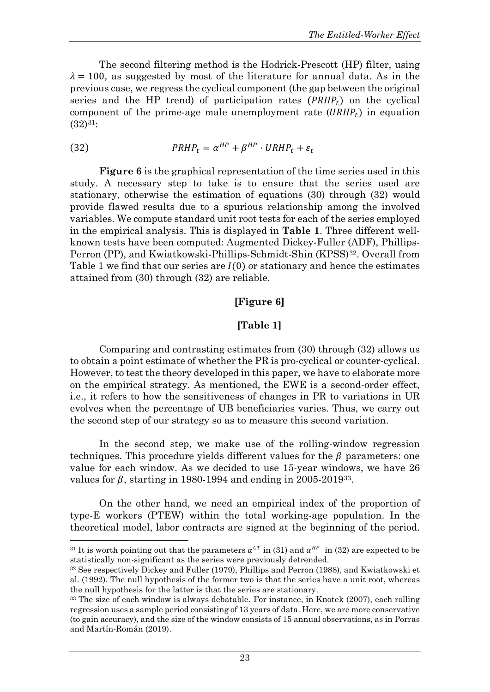The second filtering method is the Hodrick-Prescott (HP) filter, using  $\lambda = 100$ , as suggested by most of the literature for annual data. As in the previous case, we regress the cyclical component (the gap between the original series and the HP trend) of participation rates  $(PRHP_t)$  on the cyclical component of the prime-age male unemployment rate  $(URHP_t)$  in equation  $(32)^{31}$  $(32)^{31}$  $(32)^{31}$ :

(32) 
$$
PRHP_t = \alpha^{HP} + \beta^{HP} \cdot URHP_t + \varepsilon_t
$$

**Figure 6** is the graphical representation of the time series used in this study. A necessary step to take is to ensure that the series used are stationary, otherwise the estimation of equations (30) through (32) would provide flawed results due to a spurious relationship among the involved variables. We compute standard unit root tests for each of the series employed in the empirical analysis. This is displayed in **Table 1**. Three different wellknown tests have been computed: Augmented Dickey-Fuller (ADF), Phillips-Perron (PP), and Kwiatkowski-Phillips-Schmidt-Shin (KPSS)<sup>[32](#page-24-1)</sup>. Overall from Table 1 we find that our series are  $I(0)$  or stationary and hence the estimates attained from (30) through (32) are reliable.

## **[Figure 6]**

## **[Table 1]**

Comparing and contrasting estimates from (30) through (32) allows us to obtain a point estimate of whether the PR is pro-cyclical or counter-cyclical. However, to test the theory developed in this paper, we have to elaborate more on the empirical strategy. As mentioned, the EWE is a second-order effect, i.e., it refers to how the sensitiveness of changes in PR to variations in UR evolves when the percentage of UB beneficiaries varies. Thus, we carry out the second step of our strategy so as to measure this second variation.

In the second step, we make use of the rolling-window regression techniques. This procedure yields different values for the  $\beta$  parameters: one value for each window. As we decided to use 15-year windows, we have 26 values for  $\beta$ , starting in 1980-1994 and ending in 2005-2019<sup>[33](#page-24-2)</sup>.

On the other hand, we need an empirical index of the proportion of type-E workers (PTEW) within the total working-age population. In the theoretical model, labor contracts are signed at the beginning of the period.

<span id="page-24-0"></span><sup>&</sup>lt;sup>31</sup> It is worth pointing out that the parameters  $\alpha^{CT}$  in (31) and  $\alpha^{HP}$  in (32) are expected to be statistically non-significant as the series were previously detrended.

<span id="page-24-1"></span><sup>32</sup> See respectively Dickey and Fuller (1979), Phillips and Perron (1988), and Kwiatkowski et al. (1992). The null hypothesis of the former two is that the series have a unit root, whereas the null hypothesis for the latter is that the series are stationary.

<span id="page-24-2"></span><sup>33</sup> The size of each window is always debatable. For instance, in Knotek (2007), each rolling regression uses a sample period consisting of 13 years of data. Here, we are more conservative (to gain accuracy), and the size of the window consists of 15 annual observations, as in Porras and Martín-Román (2019).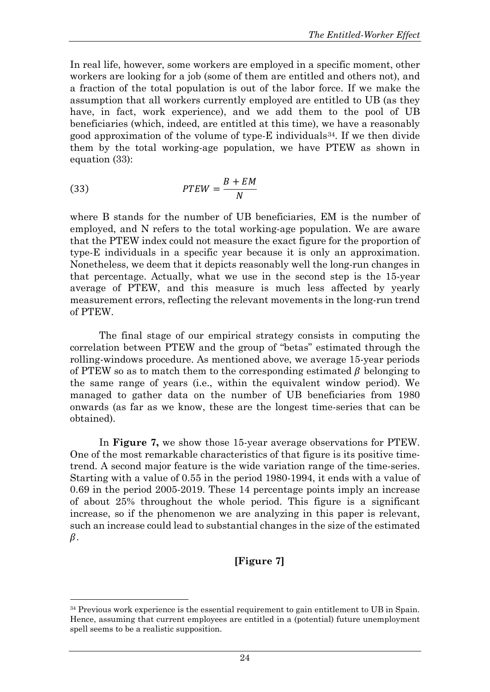In real life, however, some workers are employed in a specific moment, other workers are looking for a job (some of them are entitled and others not), and a fraction of the total population is out of the labor force. If we make the assumption that all workers currently employed are entitled to UB (as they have, in fact, work experience), and we add them to the pool of UB beneficiaries (which, indeed, are entitled at this time), we have a reasonably good approximation of the volume of type-E individuals<sup>[34](#page-25-0)</sup>. If we then divide them by the total working-age population, we have PTEW as shown in equation (33):

$$
(33) \tPTEW = \frac{B + EM}{N}
$$

 $\overline{a}$ 

where B stands for the number of UB beneficiaries, EM is the number of employed, and N refers to the total working-age population. We are aware that the PTEW index could not measure the exact figure for the proportion of type-E individuals in a specific year because it is only an approximation. Nonetheless, we deem that it depicts reasonably well the long-run changes in that percentage. Actually, what we use in the second step is the 15-year average of PTEW, and this measure is much less affected by yearly measurement errors, reflecting the relevant movements in the long-run trend of PTEW.

The final stage of our empirical strategy consists in computing the correlation between PTEW and the group of "betas" estimated through the rolling-windows procedure. As mentioned above, we average 15-year periods of PTEW so as to match them to the corresponding estimated  $\beta$  belonging to the same range of years (i.e., within the equivalent window period). We managed to gather data on the number of UB beneficiaries from 1980 onwards (as far as we know, these are the longest time-series that can be obtained).

In **Figure 7,** we show those 15-year average observations for PTEW. One of the most remarkable characteristics of that figure is its positive timetrend. A second major feature is the wide variation range of the time-series. Starting with a value of 0.55 in the period 1980-1994, it ends with a value of 0.69 in the period 2005-2019. These 14 percentage points imply an increase of about 25% throughout the whole period. This figure is a significant increase, so if the phenomenon we are analyzing in this paper is relevant, such an increase could lead to substantial changes in the size of the estimated  $\beta$ .

# **[Figure 7]**

<span id="page-25-0"></span><sup>&</sup>lt;sup>34</sup> Previous work experience is the essential requirement to gain entitlement to UB in Spain. Hence, assuming that current employees are entitled in a (potential) future unemployment spell seems to be a realistic supposition.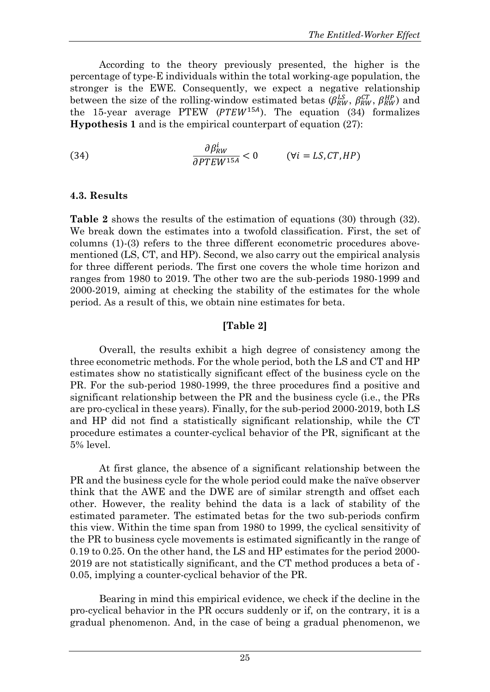According to the theory previously presented, the higher is the percentage of type-E individuals within the total working-age population, the stronger is the EWE. Consequently, we expect a negative relationship between the size of the rolling-window estimated betas  $(\beta_{RW}^{LS}, \beta_{RW}^{CT}, \beta_{RW}^{HP})$  and the 15-year average PTEW  $(PTEW^{15A})$ . The equation (34) formalizes **Hypothesis 1** and is the empirical counterpart of equation (27):

(34) 
$$
\frac{\partial \beta_{RW}^i}{\partial PTEW^{15A}} < 0 \qquad (\forall i = LS, CT, HP)
$$

## **4.3. Results**

**Table 2** shows the results of the estimation of equations (30) through (32). We break down the estimates into a twofold classification. First, the set of columns (1)-(3) refers to the three different econometric procedures abovementioned (LS, CT, and HP). Second, we also carry out the empirical analysis for three different periods. The first one covers the whole time horizon and ranges from 1980 to 2019. The other two are the sub-periods 1980-1999 and 2000-2019, aiming at checking the stability of the estimates for the whole period. As a result of this, we obtain nine estimates for beta.

# **[Table 2]**

Overall, the results exhibit a high degree of consistency among the three econometric methods. For the whole period, both the LS and CT and HP estimates show no statistically significant effect of the business cycle on the PR. For the sub-period 1980-1999, the three procedures find a positive and significant relationship between the PR and the business cycle (i.e., the PRs are pro-cyclical in these years). Finally, for the sub-period 2000-2019, both LS and HP did not find a statistically significant relationship, while the CT procedure estimates a counter-cyclical behavior of the PR, significant at the 5% level.

At first glance, the absence of a significant relationship between the PR and the business cycle for the whole period could make the naïve observer think that the AWE and the DWE are of similar strength and offset each other. However, the reality behind the data is a lack of stability of the estimated parameter. The estimated betas for the two sub-periods confirm this view. Within the time span from 1980 to 1999, the cyclical sensitivity of the PR to business cycle movements is estimated significantly in the range of 0.19 to 0.25. On the other hand, the LS and HP estimates for the period 2000- 2019 are not statistically significant, and the CT method produces a beta of - 0.05, implying a counter-cyclical behavior of the PR.

Bearing in mind this empirical evidence, we check if the decline in the pro-cyclical behavior in the PR occurs suddenly or if, on the contrary, it is a gradual phenomenon. And, in the case of being a gradual phenomenon, we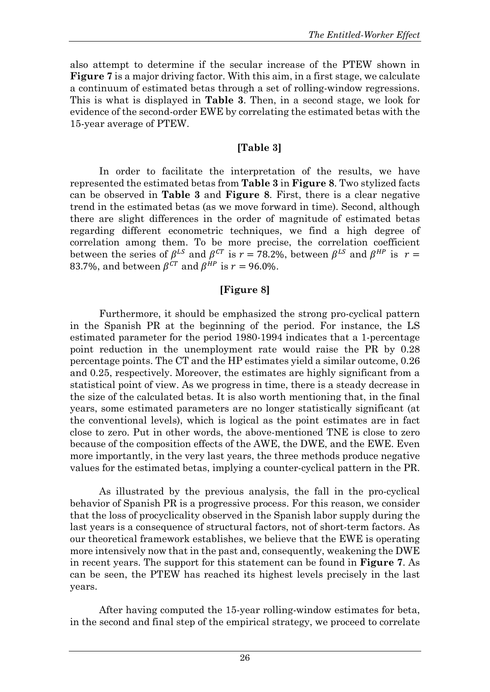also attempt to determine if the secular increase of the PTEW shown in **Figure 7** is a major driving factor. With this aim, in a first stage, we calculate a continuum of estimated betas through a set of rolling-window regressions. This is what is displayed in **Table 3**. Then, in a second stage, we look for evidence of the second-order EWE by correlating the estimated betas with the 15-year average of PTEW.

# **[Table 3]**

In order to facilitate the interpretation of the results, we have represented the estimated betas from **Table 3** in **Figure 8**. Two stylized facts can be observed in **Table 3** and **Figure 8**. First, there is a clear negative trend in the estimated betas (as we move forward in time). Second, although there are slight differences in the order of magnitude of estimated betas regarding different econometric techniques, we find a high degree of correlation among them. To be more precise, the correlation coefficient between the series of  $\beta^{LS}$  and  $\beta^{CT}$  is  $r = 78.2\%$ , between  $\beta^{LS}$  and  $\beta^{HP}$  is  $r =$ 83.7%, and between  $\beta^{CT}$  and  $\beta^{HP}$  is  $r = 96.0\%$ .

## **[Figure 8]**

Furthermore, it should be emphasized the strong pro-cyclical pattern in the Spanish PR at the beginning of the period. For instance, the LS estimated parameter for the period 1980-1994 indicates that a 1-percentage point reduction in the unemployment rate would raise the PR by 0.28 percentage points. The CT and the HP estimates yield a similar outcome, 0.26 and 0.25, respectively. Moreover, the estimates are highly significant from a statistical point of view. As we progress in time, there is a steady decrease in the size of the calculated betas. It is also worth mentioning that, in the final years, some estimated parameters are no longer statistically significant (at the conventional levels), which is logical as the point estimates are in fact close to zero. Put in other words, the above-mentioned TNE is close to zero because of the composition effects of the AWE, the DWE, and the EWE. Even more importantly, in the very last years, the three methods produce negative values for the estimated betas, implying a counter-cyclical pattern in the PR.

As illustrated by the previous analysis, the fall in the pro-cyclical behavior of Spanish PR is a progressive process. For this reason, we consider that the loss of procyclicality observed in the Spanish labor supply during the last years is a consequence of structural factors, not of short-term factors. As our theoretical framework establishes, we believe that the EWE is operating more intensively now that in the past and, consequently, weakening the DWE in recent years. The support for this statement can be found in **Figure 7**. As can be seen, the PTEW has reached its highest levels precisely in the last years.

After having computed the 15-year rolling-window estimates for beta, in the second and final step of the empirical strategy, we proceed to correlate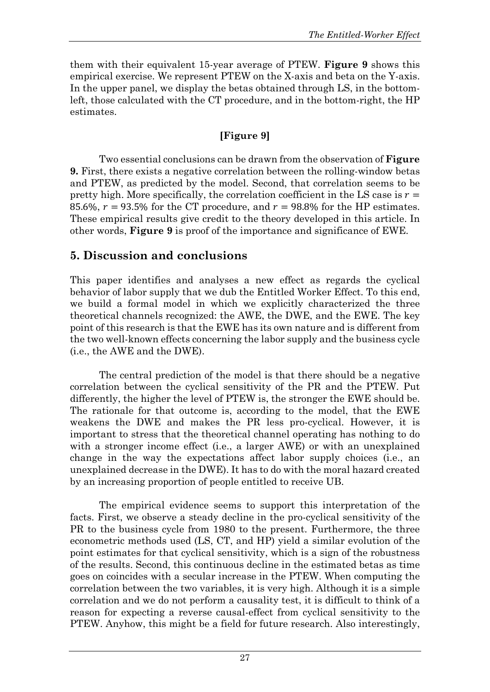them with their equivalent 15-year average of PTEW. **Figure 9** shows this empirical exercise. We represent PTEW on the X-axis and beta on the Y-axis. In the upper panel, we display the betas obtained through LS, in the bottomleft, those calculated with the CT procedure, and in the bottom-right, the HP estimates.

# **[Figure 9]**

Two essential conclusions can be drawn from the observation of **Figure 9.** First, there exists a negative correlation between the rolling-window betas and PTEW, as predicted by the model. Second, that correlation seems to be pretty high. More specifically, the correlation coefficient in the LS case is  $r =$ 85.6%,  $r = 93.5\%$  for the CT procedure, and  $r = 98.8\%$  for the HP estimates. These empirical results give credit to the theory developed in this article. In other words, **Figure 9** is proof of the importance and significance of EWE.

# **5. Discussion and conclusions**

This paper identifies and analyses a new effect as regards the cyclical behavior of labor supply that we dub the Entitled Worker Effect. To this end, we build a formal model in which we explicitly characterized the three theoretical channels recognized: the AWE, the DWE, and the EWE. The key point of this research is that the EWE has its own nature and is different from the two well-known effects concerning the labor supply and the business cycle (i.e., the AWE and the DWE).

The central prediction of the model is that there should be a negative correlation between the cyclical sensitivity of the PR and the PTEW. Put differently, the higher the level of PTEW is, the stronger the EWE should be. The rationale for that outcome is, according to the model, that the EWE weakens the DWE and makes the PR less pro-cyclical. However, it is important to stress that the theoretical channel operating has nothing to do with a stronger income effect (i.e., a larger AWE) or with an unexplained change in the way the expectations affect labor supply choices (i.e., an unexplained decrease in the DWE). It has to do with the moral hazard created by an increasing proportion of people entitled to receive UB.

The empirical evidence seems to support this interpretation of the facts. First, we observe a steady decline in the pro-cyclical sensitivity of the PR to the business cycle from 1980 to the present. Furthermore, the three econometric methods used (LS, CT, and HP) yield a similar evolution of the point estimates for that cyclical sensitivity, which is a sign of the robustness of the results. Second, this continuous decline in the estimated betas as time goes on coincides with a secular increase in the PTEW. When computing the correlation between the two variables, it is very high. Although it is a simple correlation and we do not perform a causality test, it is difficult to think of a reason for expecting a reverse causal-effect from cyclical sensitivity to the PTEW. Anyhow, this might be a field for future research. Also interestingly,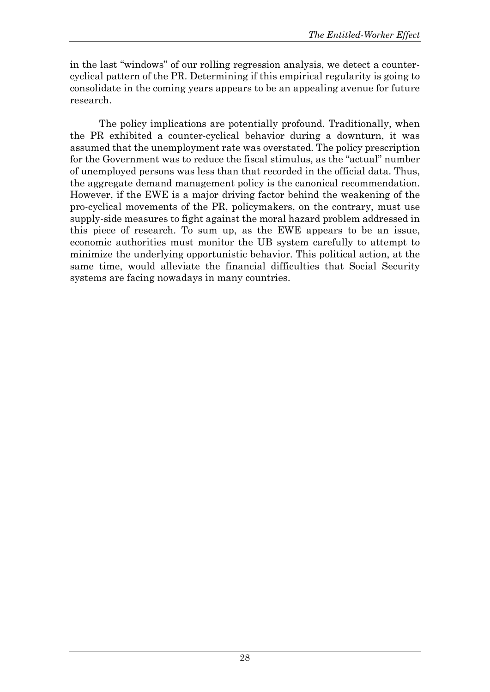in the last "windows" of our rolling regression analysis, we detect a countercyclical pattern of the PR. Determining if this empirical regularity is going to consolidate in the coming years appears to be an appealing avenue for future research.

The policy implications are potentially profound. Traditionally, when the PR exhibited a counter-cyclical behavior during a downturn, it was assumed that the unemployment rate was overstated. The policy prescription for the Government was to reduce the fiscal stimulus, as the "actual" number of unemployed persons was less than that recorded in the official data. Thus, the aggregate demand management policy is the canonical recommendation. However, if the EWE is a major driving factor behind the weakening of the pro-cyclical movements of the PR, policymakers, on the contrary, must use supply-side measures to fight against the moral hazard problem addressed in this piece of research. To sum up, as the EWE appears to be an issue, economic authorities must monitor the UB system carefully to attempt to minimize the underlying opportunistic behavior. This political action, at the same time, would alleviate the financial difficulties that Social Security systems are facing nowadays in many countries.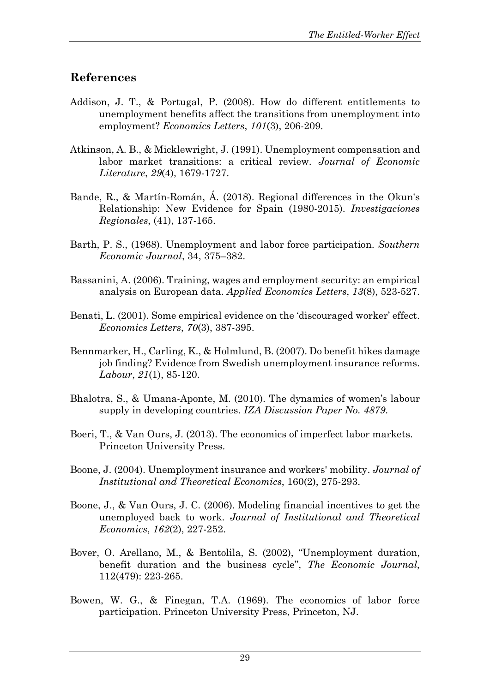# **References**

- Addison, J. T., & Portugal, P. (2008). How do different entitlements to unemployment benefits affect the transitions from unemployment into employment? *Economics Letters*, *101*(3), 206-209.
- Atkinson, A. B., & Micklewright, J. (1991). Unemployment compensation and labor market transitions: a critical review. *Journal of Economic Literature*, *29*(4), 1679-1727.
- Bande, R., & Martín-Román, Á. (2018). Regional differences in the Okun's Relationship: New Evidence for Spain (1980-2015). *Investigaciones Regionales*, (41), 137-165.
- Barth, P. S., (1968). Unemployment and labor force participation. *Southern Economic Journal*, 34, 375–382.
- Bassanini, A. (2006). Training, wages and employment security: an empirical analysis on European data. *Applied Economics Letters*, *13*(8), 523-527.
- Benati, L. (2001). Some empirical evidence on the 'discouraged worker' effect. *Economics Letters*, *70*(3), 387-395.
- Bennmarker, H., Carling, K., & Holmlund, B. (2007). Do benefit hikes damage job finding? Evidence from Swedish unemployment insurance reforms. *Labour*, *21*(1), 85-120.
- Bhalotra, S., & Umana-Aponte, M. (2010). The dynamics of women's labour supply in developing countries. *IZA Discussion Paper No. 4879*.
- Boeri, T., & Van Ours, J. (2013). The economics of imperfect labor markets. Princeton University Press.
- Boone, J. (2004). Unemployment insurance and workers' mobility. *Journal of Institutional and Theoretical Economics*, 160(2), 275-293.
- Boone, J., & Van Ours, J. C. (2006). Modeling financial incentives to get the unemployed back to work. *Journal of Institutional and Theoretical Economics*, *162*(2), 227-252.
- Bover, O. Arellano, M., & Bentolila, S. (2002), "Unemployment duration, benefit duration and the business cycle", *The Economic Journal*, 112(479): 223-265.
- Bowen, W. G., & Finegan, T.A. (1969). The economics of labor force participation. Princeton University Press, Princeton, NJ.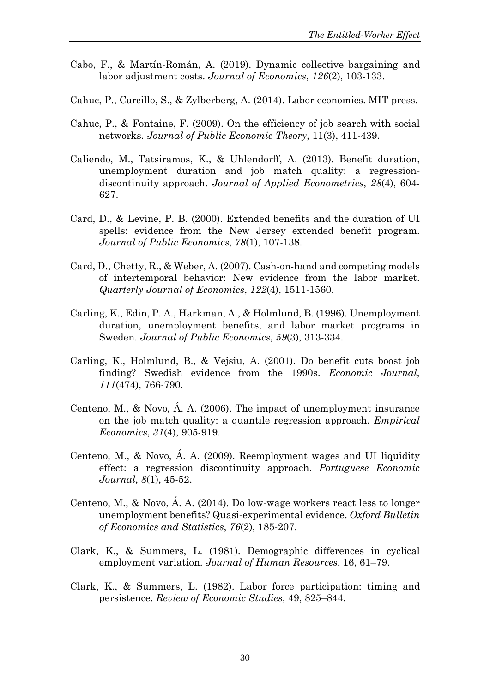- Cabo, F., & Martín-Román, A. (2019). Dynamic collective bargaining and labor adjustment costs. *Journal of Economics*, *126*(2), 103-133.
- Cahuc, P., Carcillo, S., & Zylberberg, A. (2014). Labor economics. MIT press.
- Cahuc, P., & Fontaine, F. (2009). On the efficiency of job search with social networks. *Journal of Public Economic Theory*, 11(3), 411-439.
- Caliendo, M., Tatsiramos, K., & Uhlendorff, A. (2013). Benefit duration, unemployment duration and job match quality: a regressiondiscontinuity approach. *Journal of Applied Econometrics*, *28*(4), 604- 627.
- Card, D., & Levine, P. B. (2000). Extended benefits and the duration of UI spells: evidence from the New Jersey extended benefit program. *Journal of Public Economics*, *78*(1), 107-138.
- Card, D., Chetty, R., & Weber, A. (2007). Cash-on-hand and competing models of intertemporal behavior: New evidence from the labor market. *Quarterly Journal of Economics*, *122*(4), 1511-1560.
- Carling, K., Edin, P. A., Harkman, A., & Holmlund, B. (1996). Unemployment duration, unemployment benefits, and labor market programs in Sweden. *Journal of Public Economics*, *59*(3), 313-334.
- Carling, K., Holmlund, B., & Vejsiu, A. (2001). Do benefit cuts boost job finding? Swedish evidence from the 1990s. *Economic Journal*, *111*(474), 766-790.
- Centeno, M., & Novo, Á. A. (2006). The impact of unemployment insurance on the job match quality: a quantile regression approach. *Empirical Economics*, *31*(4), 905-919.
- Centeno, M., & Novo, Á. A. (2009). Reemployment wages and UI liquidity effect: a regression discontinuity approach. *Portuguese Economic Journal*, *8*(1), 45-52.
- Centeno, M., & Novo, Á. A. (2014). Do low‐wage workers react less to longer unemployment benefits? Quasi‐experimental evidence. *Oxford Bulletin of Economics and Statistics*, *76*(2), 185-207.
- Clark, K., & Summers, L. (1981). Demographic differences in cyclical employment variation. *Journal of Human Resources*, 16, 61–79.
- Clark, K., & Summers, L. (1982). Labor force participation: timing and persistence. *Review of Economic Studies*, 49, 825–844.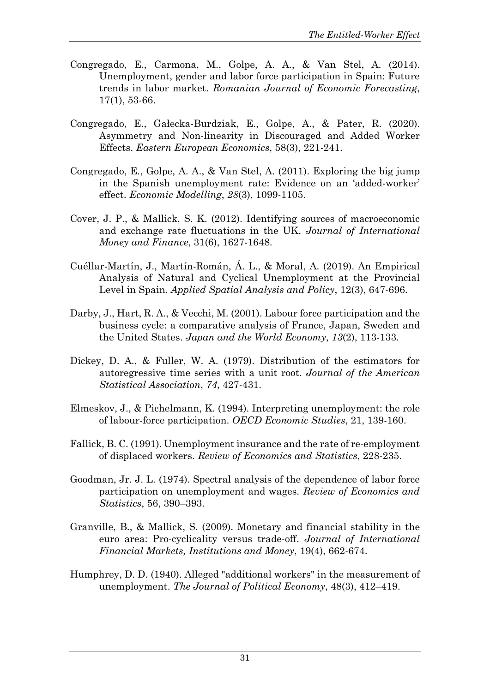- Congregado, E., Carmona, M., Golpe, A. A., & Van Stel, A. (2014). Unemployment, gender and labor force participation in Spain: Future trends in labor market. *Romanian Journal of Economic Forecasting*, 17(1), 53-66.
- Congregado, E., Gałecka-Burdziak, E., Golpe, A., & Pater, R. (2020). Asymmetry and Non-linearity in Discouraged and Added Worker Effects. *Eastern European Economics*, 58(3), 221-241.
- Congregado, E., Golpe, A. A., & Van Stel, A. (2011). Exploring the big jump in the Spanish unemployment rate: Evidence on an 'added-worker' effect. *Economic Modelling*, *28*(3), 1099-1105.
- Cover, J. P., & Mallick, S. K. (2012). Identifying sources of macroeconomic and exchange rate fluctuations in the UK. *Journal of International Money and Finance*, 31(6), 1627-1648.
- Cuéllar-Martín, J., Martín-Román, Á. L., & Moral, A. (2019). An Empirical Analysis of Natural and Cyclical Unemployment at the Provincial Level in Spain. *Applied Spatial Analysis and Policy*, 12(3), 647-696.
- Darby, J., Hart, R. A., & Vecchi, M. (2001). Labour force participation and the business cycle: a comparative analysis of France, Japan, Sweden and the United States. *Japan and the World Economy*, *13*(2), 113-133.
- Dickey, D. A., & Fuller, W. A. (1979). Distribution of the estimators for autoregressive time series with a unit root. *Journal of the American Statistical Association*, *74*, 427-431.
- Elmeskov, J., & Pichelmann, K. (1994). Interpreting unemployment: the role of labour-force participation. *OECD Economic Studies*, 21, 139-160.
- Fallick, B. C. (1991). Unemployment insurance and the rate of re-employment of displaced workers. *Review of Economics and Statistics*, 228-235.
- Goodman, Jr. J. L. (1974). Spectral analysis of the dependence of labor force participation on unemployment and wages. *Review of Economics and Statistics*, 56, 390–393.
- Granville, B., & Mallick, S. (2009). Monetary and financial stability in the euro area: Pro-cyclicality versus trade-off. *Journal of International Financial Markets, Institutions and Money*, 19(4), 662-674.
- Humphrey, D. D. (1940). Alleged "additional workers" in the measurement of unemployment. *The Journal of Political Economy*, 48(3), 412–419.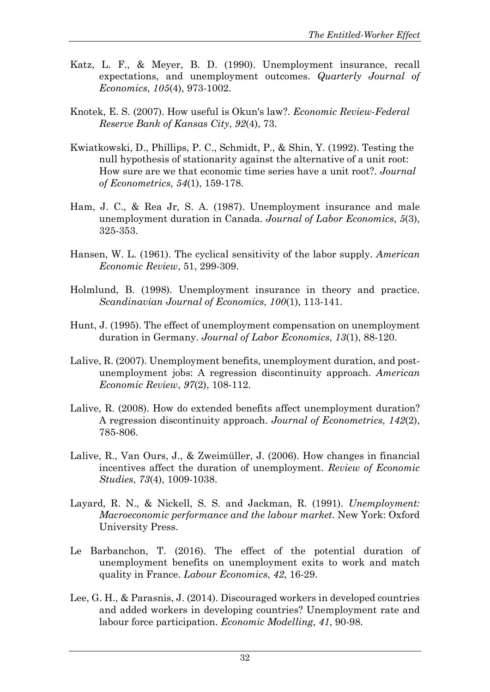- Katz, L. F., & Meyer, B. D. (1990). Unemployment insurance, recall expectations, and unemployment outcomes. *Quarterly Journal of Economics*, *105*(4), 973-1002.
- Knotek, E. S. (2007). How useful is Okun's law?. *Economic Review-Federal Reserve Bank of Kansas City*, *92*(4), 73.
- Kwiatkowski, D., Phillips, P. C., Schmidt, P., & Shin, Y. (1992). Testing the null hypothesis of stationarity against the alternative of a unit root: How sure are we that economic time series have a unit root?. *Journal of Econometrics*, *54*(1), 159-178.
- Ham, J. C., & Rea Jr, S. A. (1987). Unemployment insurance and male unemployment duration in Canada. *Journal of Labor Economics*, *5*(3), 325-353.
- Hansen, W. L. (1961). The cyclical sensitivity of the labor supply. *American Economic Review*, 51, 299-309.
- Holmlund, B. (1998). Unemployment insurance in theory and practice. *Scandinavian Journal of Economics*, *100*(1), 113-141.
- Hunt, J. (1995). The effect of unemployment compensation on unemployment duration in Germany. *Journal of Labor Economics*, *13*(1), 88-120.
- Lalive, R. (2007). Unemployment benefits, unemployment duration, and postunemployment jobs: A regression discontinuity approach. *American Economic Review*, *97*(2), 108-112.
- Lalive, R. (2008). How do extended benefits affect unemployment duration? A regression discontinuity approach. *Journal of Econometrics*, *142*(2), 785-806.
- Lalive, R., Van Ours, J., & Zweimüller, J. (2006). How changes in financial incentives affect the duration of unemployment. *Review of Economic Studies*, *73*(4), 1009-1038.
- Layard, R. N., & Nickell, S. S. and Jackman, R. (1991). *Unemployment: Macroeconomic performance and the labour market*. New York: Oxford University Press.
- Le Barbanchon, T. (2016). The effect of the potential duration of unemployment benefits on unemployment exits to work and match quality in France. *Labour Economics*, *42*, 16-29.
- Lee, G. H., & Parasnis, J. (2014). Discouraged workers in developed countries and added workers in developing countries? Unemployment rate and labour force participation. *Economic Modelling*, *41*, 90-98.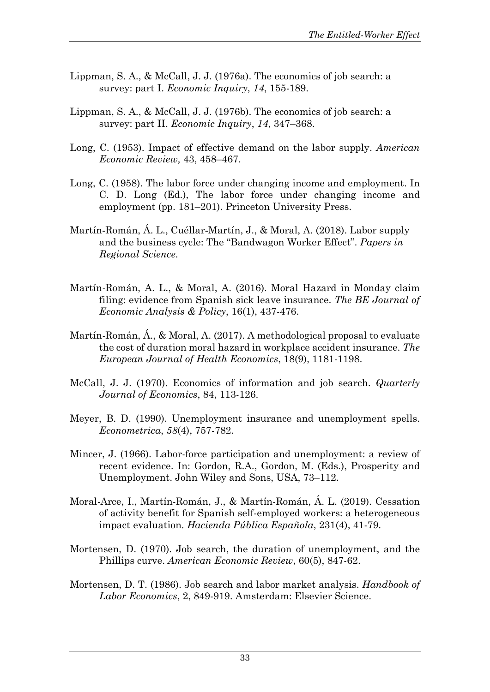- Lippman, S. A., & McCall, J. J. (1976a). The economics of job search: a survey: part I. *Economic Inquiry*, *14*, 155-189.
- Lippman, S. A., & McCall, J. J. (1976b). The economics of job search: a survey: part II. *Economic Inquiry*, *14*, 347–368.
- Long, C. (1953). Impact of effective demand on the labor supply. *American Economic Review,* 43, 458–467.
- Long, C. (1958). The labor force under changing income and employment. In C. D. Long (Ed.), The labor force under changing income and employment (pp. 181–201). Princeton University Press.
- Martín‐Román, Á. L., Cuéllar‐Martín, J., & Moral, A. (2018). Labor supply and the business cycle: The "Bandwagon Worker Effect". *Papers in Regional Science*.
- Martín-Román, A. L., & Moral, A. (2016). Moral Hazard in Monday claim filing: evidence from Spanish sick leave insurance. *The BE Journal of Economic Analysis & Policy*, 16(1), 437-476.
- Martín-Román, Á., & Moral, A. (2017). A methodological proposal to evaluate the cost of duration moral hazard in workplace accident insurance. *The European Journal of Health Economics*, 18(9), 1181-1198.
- McCall, J. J. (1970). Economics of information and job search. *Quarterly Journal of Economics*, 84, 113-126.
- Meyer, B. D. (1990). Unemployment insurance and unemployment spells. *Econometrica*, *58*(4), 757-782.
- Mincer, J. (1966). Labor-force participation and unemployment: a review of recent evidence. In: Gordon, R.A., Gordon, M. (Eds.), Prosperity and Unemployment. John Wiley and Sons, USA, 73–112.
- Moral-Arce, I., Martín-Román, J., & Martín-Román, Á. L. (2019). Cessation of activity benefit for Spanish self-employed workers: a heterogeneous impact evaluation. *Hacienda Pública Española*, 231(4), 41-79.
- Mortensen, D. (1970). Job search, the duration of unemployment, and the Phillips curve. *American Economic Review*, 60(5), 847-62.
- Mortensen, D. T. (1986). Job search and labor market analysis. *Handbook of Labor Economics*, 2, 849-919. Amsterdam: Elsevier Science.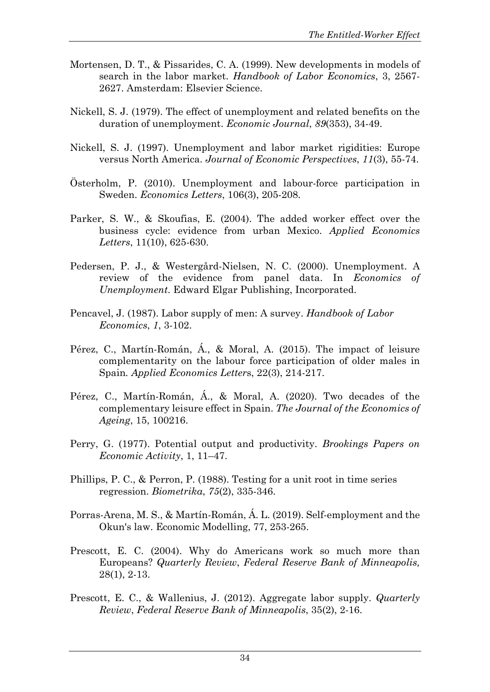- Mortensen, D. T., & Pissarides, C. A. (1999). New developments in models of search in the labor market. *Handbook of Labor Economics*, 3, 2567- 2627. Amsterdam: Elsevier Science.
- Nickell, S. J. (1979). The effect of unemployment and related benefits on the duration of unemployment. *Economic Journal*, *89*(353), 34-49.
- Nickell, S. J. (1997). Unemployment and labor market rigidities: Europe versus North America. *Journal of Economic Perspectives*, *11*(3), 55-74.
- Österholm, P. (2010). Unemployment and labour-force participation in Sweden. *Economics Letters*, 106(3), 205-208.
- Parker, S. W., & Skoufias, E. (2004). The added worker effect over the business cycle: evidence from urban Mexico. *Applied Economics Letters*, 11(10), 625-630.
- Pedersen, P. J., & Westergård-Nielsen, N. C. (2000). Unemployment. A review of the evidence from panel data. In *Economics of Unemployment*. Edward Elgar Publishing, Incorporated.
- Pencavel, J. (1987). Labor supply of men: A survey. *Handbook of Labor Economics*, *1*, 3-102.
- Pérez, C., Martín-Román, Á., & Moral, A. (2015). The impact of leisure complementarity on the labour force participation of older males in Spain*. Applied Economics Letter*s, 22(3), 214-217.
- Pérez, C., Martín-Román, Á., & Moral, A. (2020). Two decades of the complementary leisure effect in Spain. *The Journal of the Economics of Ageing*, 15, 100216.
- Perry, G. (1977). Potential output and productivity. *Brookings Papers on Economic Activity*, 1, 11–47.
- Phillips, P. C., & Perron, P. (1988). Testing for a unit root in time series regression. *Biometrika*, *75*(2), 335-346.
- Porras-Arena, M. S., & Martín-Román, Á. L. (2019). Self-employment and the Okun's law. Economic Modelling, 77, 253-265.
- Prescott, E. C. (2004). Why do Americans work so much more than Europeans? *Quarterly Review*, *Federal Reserve Bank of Minneapolis,*  28(1), 2-13.
- Prescott, E. C., & Wallenius, J. (2012). Aggregate labor supply. *Quarterly Review*, *Federal Reserve Bank of Minneapolis*, 35(2), 2-16.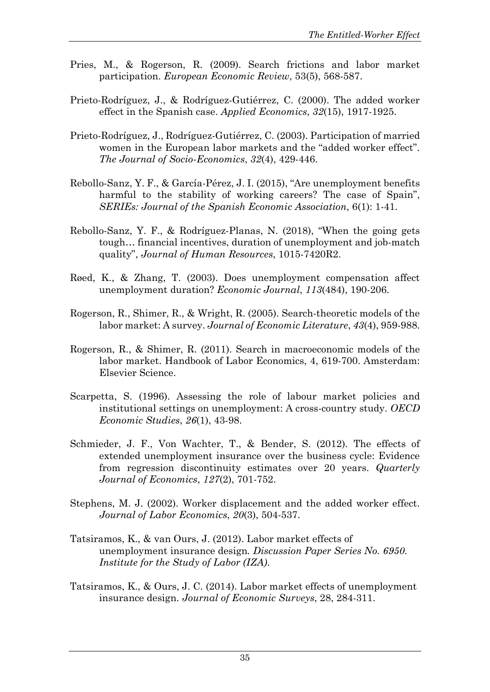- Pries, M., & Rogerson, R. (2009). Search frictions and labor market participation. *European Economic Review*, 53(5), 568-587.
- Prieto-Rodríguez, J., & Rodríguez-Gutiérrez, C. (2000). The added worker effect in the Spanish case. *Applied Economics*, *32*(15), 1917-1925.
- Prieto-Rodríguez, J., Rodríguez-Gutiérrez, C. (2003). Participation of married women in the European labor markets and the "added worker effect". *The Journal of Socio-Economics*, *32*(4), 429-446.
- Rebollo-Sanz, Y. F., & García-Pérez, J. I. (2015), "Are unemployment benefits harmful to the stability of working careers? The case of Spain", *SERIEs: Journal of the Spanish Economic Association*, 6(1): 1-41.
- Rebollo-Sanz, Y. F., & Rodríguez-Planas, N. (2018), "When the going gets tough… financial incentives, duration of unemployment and job-match quality", *Journal of Human Resources*, 1015-7420R2.
- Røed, K., & Zhang, T. (2003). Does unemployment compensation affect unemployment duration? *Economic Journal*, *113*(484), 190-206.
- Rogerson, R., Shimer, R., & Wright, R. (2005). Search-theoretic models of the labor market: A survey. *Journal of Economic Literature*, *43*(4), 959-988.
- Rogerson, R., & Shimer, R. (2011). Search in macroeconomic models of the labor market. Handbook of Labor Economics, 4, 619-700. Amsterdam: Elsevier Science.
- Scarpetta, S. (1996). Assessing the role of labour market policies and institutional settings on unemployment: A cross-country study. *OECD Economic Studies*, *26*(1), 43-98.
- Schmieder, J. F., Von Wachter, T., & Bender, S. (2012). The effects of extended unemployment insurance over the business cycle: Evidence from regression discontinuity estimates over 20 years. *Quarterly Journal of Economics*, *127*(2), 701-752.
- Stephens, M. J. (2002). Worker displacement and the added worker effect. *Journal of Labor Economics*, *20*(3), 504-537.
- Tatsiramos, K., & van Ours, J. (2012). Labor market effects of unemployment insurance design*. Discussion Paper Series No. 6950. Institute for the Study of Labor (IZA)*.
- Tatsiramos, K., & Ours, J. C. (2014). Labor market effects of unemployment insurance design. *Journal of Economic Surveys*, 28, 284-311.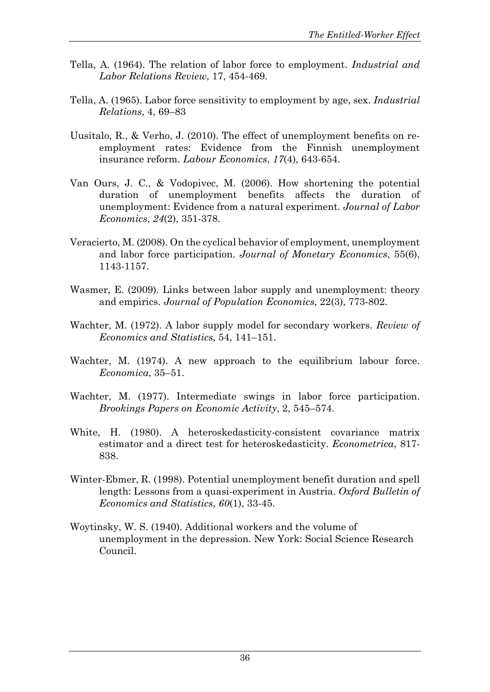- Tella, A. (1964). The relation of labor force to employment. *Industrial and Labor Relations Review*, 17, 454-469.
- Tella, A. (1965). Labor force sensitivity to employment by age, sex. *Industrial Relations*, 4, 69–83
- Uusitalo, R., & Verho, J. (2010). The effect of unemployment benefits on reemployment rates: Evidence from the Finnish unemployment insurance reform. *Labour Economics*, *17*(4), 643-654.
- Van Ours, J. C., & Vodopivec, M. (2006). How shortening the potential duration of unemployment benefits affects the duration of unemployment: Evidence from a natural experiment. *Journal of Labor Economics*, *24*(2), 351-378.
- Veracierto, M. (2008). On the cyclical behavior of employment, unemployment and labor force participation. *Journal of Monetary Economics*, 55(6), 1143-1157.
- Wasmer, E. (2009). Links between labor supply and unemployment: theory and empirics. *Journal of Population Economics*, 22(3), 773-802.
- Wachter, M. (1972). A labor supply model for secondary workers. *Review of Economics and Statistics*, 54, 141–151.
- Wachter, M. (1974). A new approach to the equilibrium labour force. *Economica*, 35–51.
- Wachter, M. (1977). Intermediate swings in labor force participation. *Brookings Papers on Economic Activity*, 2, 545–574.
- White, H. (1980). A heteroskedasticity-consistent covariance matrix estimator and a direct test for heteroskedasticity. *Econometrica*, 817- 838.
- Winter-Ebmer, R. (1998). Potential unemployment benefit duration and spell length: Lessons from a quasi-experiment in Austria. *Oxford Bulletin of Economics and Statistics*, *60*(1), 33-45.
- Woytinsky, W. S. (1940). Additional workers and the volume of unemployment in the depression. New York: Social Science Research Council.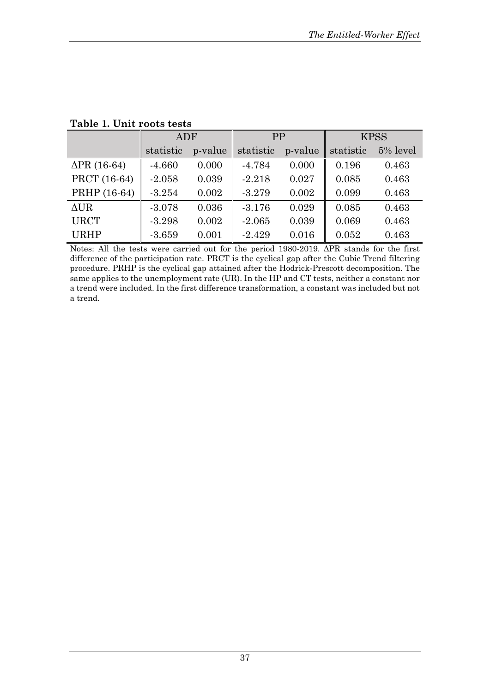|                     | ADF       |         | PP        |         | <b>KPSS</b> |          |  |
|---------------------|-----------|---------|-----------|---------|-------------|----------|--|
|                     | statistic | p-value | statistic | p-value | statistic   | 5% level |  |
| $\Delta$ PR (16-64) | $-4.660$  | 0.000   | $-4.784$  | 0.000   | 0.196       | 0.463    |  |
| PRCT (16-64)        | $-2.058$  | 0.039   | $-2.218$  | 0.027   | 0.085       | 0.463    |  |
| PRHP (16-64)        | $-3.254$  | 0.002   | $-3.279$  | 0.002   | 0.099       | 0.463    |  |
| $\triangle$ UR      | $-3.078$  | 0.036   | $-3.176$  | 0.029   | 0.085       | 0.463    |  |
| <b>URCT</b>         | $-3.298$  | 0.002   | $-2.065$  | 0.039   | 0.069       | 0.463    |  |
| <b>URHP</b>         | $-3.659$  | 0.001   | $-2.429$  | 0.016   | 0.052       | 0.463    |  |

**Table 1. Unit roots tests**

Notes: All the tests were carried out for the period 1980-2019. ΔPR stands for the first difference of the participation rate. PRCT is the cyclical gap after the Cubic Trend filtering procedure. PRHP is the cyclical gap attained after the Hodrick-Prescott decomposition. The same applies to the unemployment rate (UR). In the HP and CT tests, neither a constant nor a trend were included. In the first difference transformation, a constant was included but not a trend.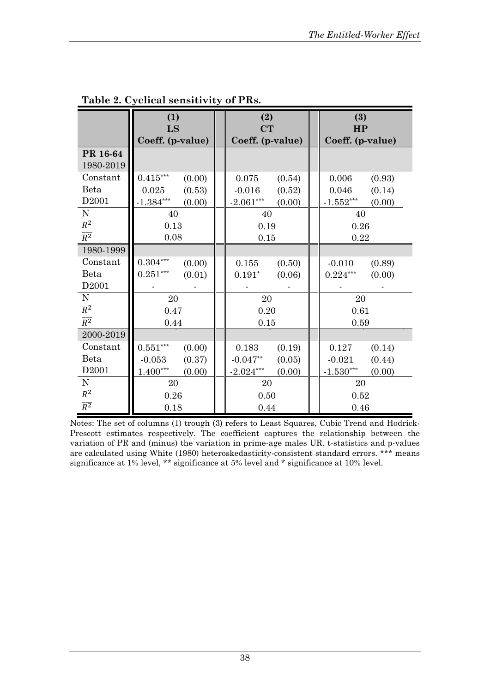|                   | (1)<br>LS              |        | (2)<br>CT        |        |  | (3)<br>HP                        |        |
|-------------------|------------------------|--------|------------------|--------|--|----------------------------------|--------|
|                   | Coeff. (p-value)       |        | Coeff. (p-value) |        |  | Coeff. (p-value)                 |        |
| PR 16-64          |                        |        |                  |        |  |                                  |        |
| 1980-2019         |                        |        |                  |        |  |                                  |        |
| Constant          | $0.415^{\ast\ast\ast}$ | (0.00) | 0.075            | (0.54) |  | 0.006                            | (0.93) |
| Beta              | 0.025                  | (0.53) | $-0.016$         | (0.52) |  | 0.046                            | (0.14) |
| D <sub>2001</sub> | $-1.384***$            | (0.00) | $-2.061***$      | (0.00) |  | $-1.552***$                      | (0.00) |
| N                 | 40                     |        | 40               |        |  | 40                               |        |
| $R^2$             | 0.13                   |        | 0.19             |        |  | 0.26                             |        |
| $\overline{R^2}$  | 0.08                   |        | 0.15             |        |  | 0.22                             |        |
| 1980-1999         |                        |        |                  |        |  |                                  |        |
| Constant          | $0.304\sp{***}$        | (0.00) | 0.155            | (0.50) |  | $-0.010$                         | (0.89) |
| Beta              | $0.251***$             | (0.01) | $0.191*$         | (0.06) |  | $0.224\sp{***}$                  | (0.00) |
| D <sub>2001</sub> |                        |        |                  |        |  |                                  |        |
| $\mathbf N$       | 20                     |        | 20               |        |  | 20                               |        |
| $R^2$             | 0.47                   |        | 0.20             |        |  | 0.61                             |        |
| $\overline{R^2}$  | 0.44                   |        | 0.15             |        |  | 0.59                             |        |
| 2000-2019         |                        |        |                  |        |  |                                  |        |
| Constant          | $0.551^{\ast\ast\ast}$ | (0.00) | 0.183            | (0.19) |  | 0.127                            | (0.14) |
| Beta              | $-0.053$               | (0.37) | $-0.047**$       | (0.05) |  | $-0.021$                         | (0.44) |
| D <sub>2001</sub> | $1.400***$             | (0.00) | $-2.024***$      | (0.00) |  | $\textbf{-1.530}^{\ast\ast\ast}$ | (0.00) |
| ${\bf N}$         | 20                     |        | 20               |        |  | 20                               |        |
| $\mathbb{R}^2$    | 0.26                   |        | 0.50             |        |  | 0.52                             |        |
| $\overline{R^2}$  | 0.18                   |        | 0.44             |        |  | 0.46                             |        |

**Table 2. Cyclical sensitivity of PRs.**

Notes: The set of columns (1) trough (3) refers to Least Squares, Cubic Trend and Hodrick-Prescott estimates respectively. The coefficient captures the relationship between the variation of PR and (minus) the variation in prime-age males UR. t-statistics and p-values are calculated using White (1980) heteroskedasticity-consistent standard errors. \*\*\* means significance at 1% level, \*\* significance at 5% level and \* significance at 10% level.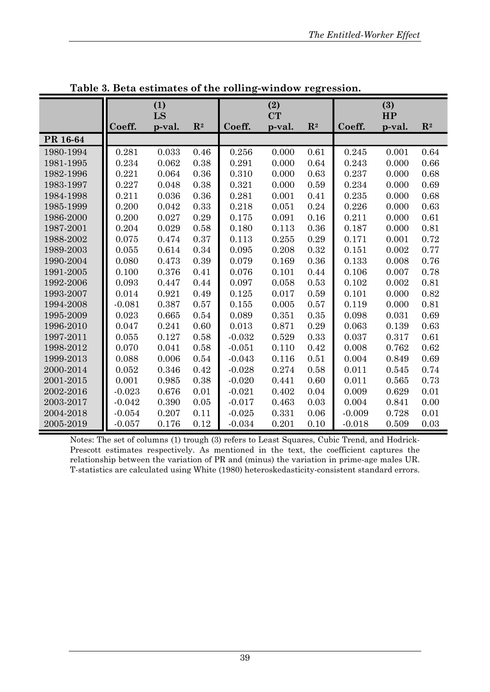|           | (1)<br>LS |        | (2)<br><b>CT</b> |          |        | (3)<br>HP      |          |        |                |
|-----------|-----------|--------|------------------|----------|--------|----------------|----------|--------|----------------|
|           | Coeff.    | p-val. | $\mathbb{R}^2$   | Coeff.   | p-val. | $\mathbf{R}^2$ | Coeff.   | p-val. | $\mathbf{R}^2$ |
| PR 16-64  |           |        |                  |          |        |                |          |        |                |
| 1980-1994 | 0.281     | 0.033  | 0.46             | 0.256    | 0.000  | 0.61           | 0.245    | 0.001  | 0.64           |
| 1981-1995 | 0.234     | 0.062  | 0.38             | 0.291    | 0.000  | 0.64           | 0.243    | 0.000  | 0.66           |
| 1982-1996 | 0.221     | 0.064  | 0.36             | 0.310    | 0.000  | 0.63           | 0.237    | 0.000  | 0.68           |
| 1983-1997 | 0.227     | 0.048  | 0.38             | 0.321    | 0.000  | 0.59           | 0.234    | 0.000  | 0.69           |
| 1984-1998 | 0.211     | 0.036  | 0.36             | 0.281    | 0.001  | 0.41           | 0.235    | 0.000  | 0.68           |
| 1985-1999 | 0.200     | 0.042  | 0.33             | 0.218    | 0.051  | 0.24           | 0.226    | 0.000  | 0.63           |
| 1986-2000 | 0.200     | 0.027  | 0.29             | 0.175    | 0.091  | 0.16           | 0.211    | 0.000  | 0.61           |
| 1987-2001 | 0.204     | 0.029  | 0.58             | 0.180    | 0.113  | 0.36           | 0.187    | 0.000  | 0.81           |
| 1988-2002 | 0.075     | 0.474  | 0.37             | 0.113    | 0.255  | 0.29           | 0.171    | 0.001  | 0.72           |
| 1989-2003 | 0.055     | 0.614  | 0.34             | 0.095    | 0.208  | 0.32           | 0.151    | 0.002  | 0.77           |
| 1990-2004 | 0.080     | 0.473  | 0.39             | 0.079    | 0.169  | 0.36           | 0.133    | 0.008  | 0.76           |
| 1991-2005 | 0.100     | 0.376  | 0.41             | 0.076    | 0.101  | 0.44           | 0.106    | 0.007  | 0.78           |
| 1992-2006 | 0.093     | 0.447  | 0.44             | 0.097    | 0.058  | 0.53           | 0.102    | 0.002  | 0.81           |
| 1993-2007 | 0.014     | 0.921  | 0.49             | 0.125    | 0.017  | 0.59           | 0.101    | 0.000  | 0.82           |
| 1994-2008 | $-0.081$  | 0.387  | 0.57             | 0.155    | 0.005  | 0.57           | 0.119    | 0.000  | 0.81           |
| 1995-2009 | 0.023     | 0.665  | 0.54             | 0.089    | 0.351  | 0.35           | 0.098    | 0.031  | 0.69           |
| 1996-2010 | 0.047     | 0.241  | 0.60             | 0.013    | 0.871  | 0.29           | 0.063    | 0.139  | 0.63           |
| 1997-2011 | 0.055     | 0.127  | 0.58             | $-0.032$ | 0.529  | 0.33           | 0.037    | 0.317  | 0.61           |
| 1998-2012 | 0.070     | 0.041  | 0.58             | $-0.051$ | 0.110  | 0.42           | 0.008    | 0.762  | 0.62           |
| 1999-2013 | 0.088     | 0.006  | 0.54             | $-0.043$ | 0.116  | 0.51           | 0.004    | 0.849  | 0.69           |
| 2000-2014 | 0.052     | 0.346  | 0.42             | $-0.028$ | 0.274  | 0.58           | 0.011    | 0.545  | 0.74           |
| 2001-2015 | 0.001     | 0.985  | 0.38             | $-0.020$ | 0.441  | 0.60           | 0.011    | 0.565  | 0.73           |
| 2002-2016 | $-0.023$  | 0.676  | 0.01             | $-0.021$ | 0.402  | 0.04           | 0.009    | 0.629  | 0.01           |
| 2003-2017 | $-0.042$  | 0.390  | 0.05             | $-0.017$ | 0.463  | 0.03           | 0.004    | 0.841  | 0.00           |
| 2004-2018 | $-0.054$  | 0.207  | 0.11             | $-0.025$ | 0.331  | 0.06           | $-0.009$ | 0.728  | 0.01           |
| 2005-2019 | $-0.057$  | 0.176  | 0.12             | $-0.034$ | 0.201  | 0.10           | $-0.018$ | 0.509  | 0.03           |

**Table 3. Beta estimates of the rolling-window regression.**

Notes: The set of columns (1) trough (3) refers to Least Squares, Cubic Trend, and Hodrick-Prescott estimates respectively. As mentioned in the text, the coefficient captures the relationship between the variation of PR and (minus) the variation in prime-age males UR. T-statistics are calculated using White (1980) heteroskedasticity-consistent standard errors.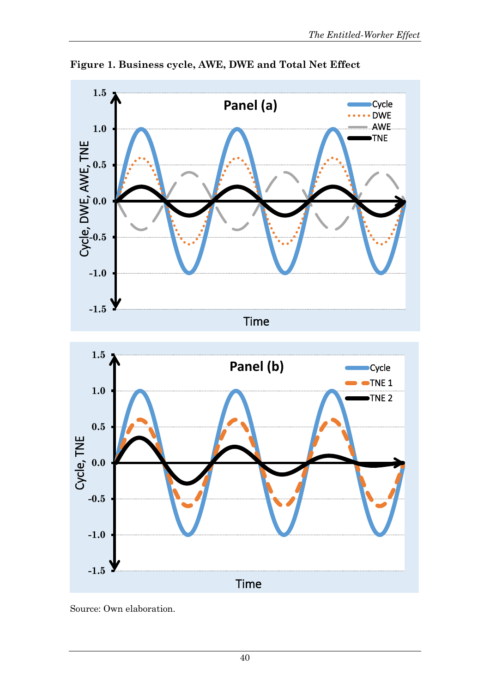

**Figure 1. Business cycle, AWE, DWE and Total Net Effect**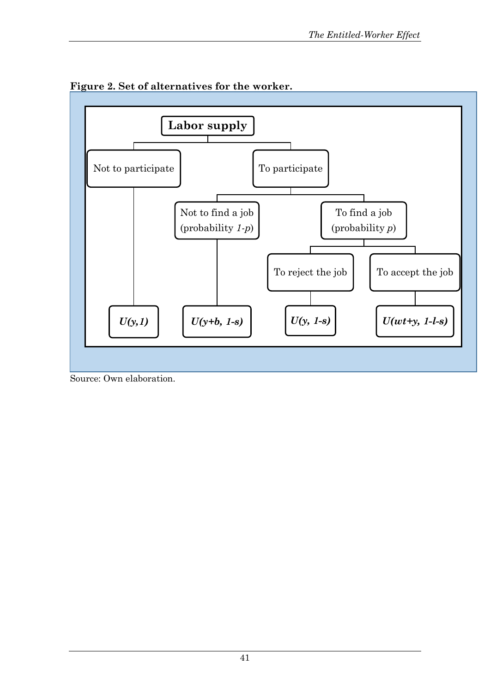

**Figure 2. Set of alternatives for the worker.**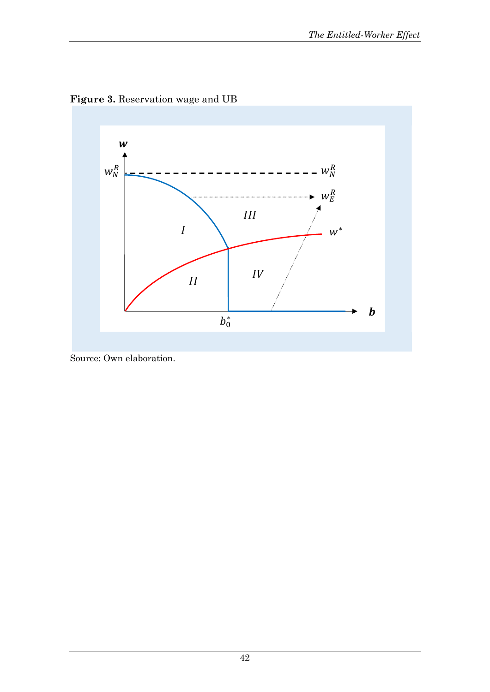

**Figure 3.** Reservation wage and UB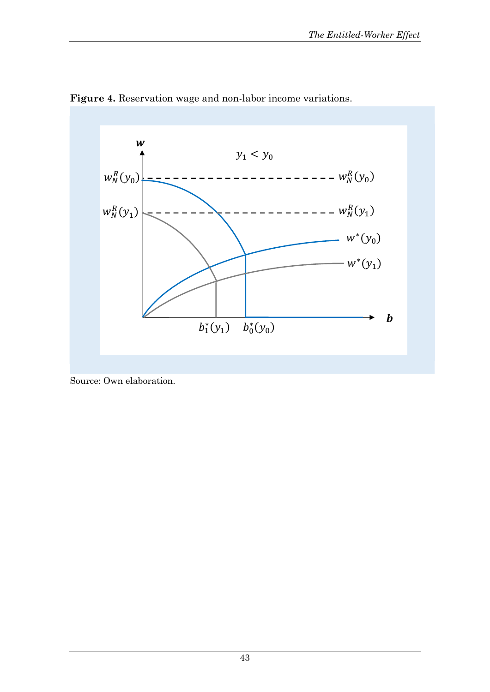

**Figure 4.** Reservation wage and non-labor income variations.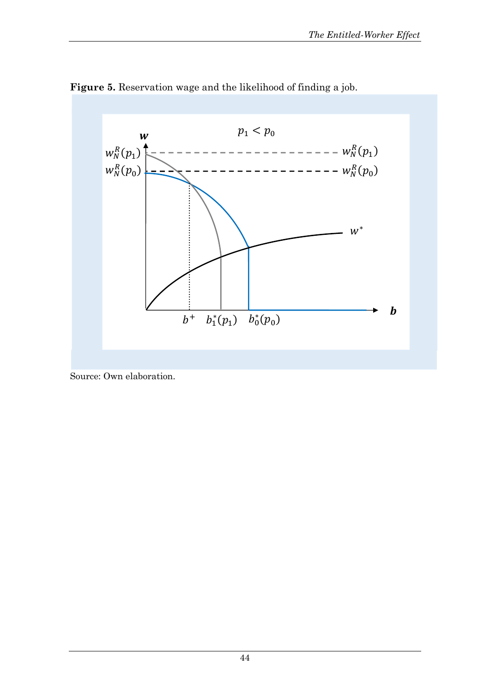

# **Figure 5.** Reservation wage and the likelihood of finding a job.

Source: Own elaboration.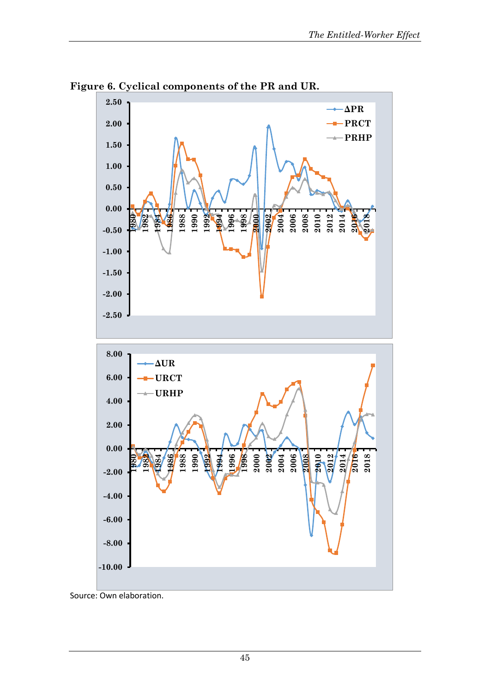

**Figure 6. Cyclical components of the PR and UR.** 

Source: Own elaboration.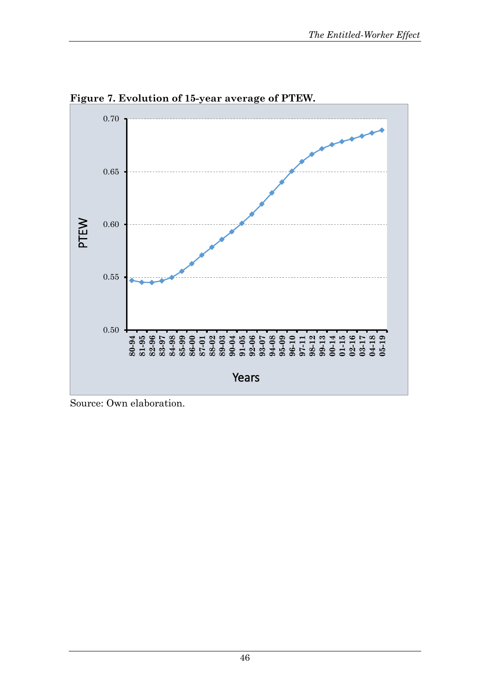

**Figure 7. Evolution of 15-year average of PTEW.**

Source: Own elaboration.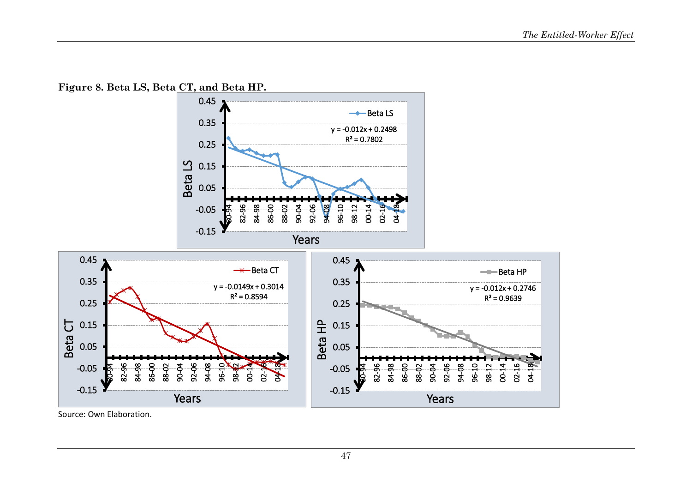**Figure 8. Beta LS, Beta CT, and Beta HP.**